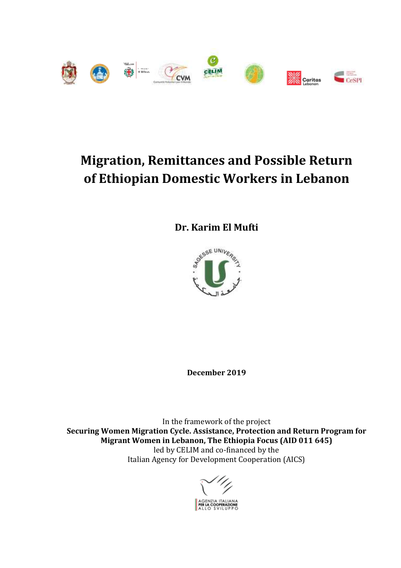

# **Migration, Remittances and Possible Return of Ethiopian Domestic Workers in Lebanon**

**Dr. Karim El Mufti**



**December 2019**

In the framework of the project **Securing Women Migration Cycle. Assistance, Protection and Return Program for Migrant Women in Lebanon, The Ethiopia Focus (AID 011 645)** led by CELIM and co-financed by the Italian Agency for Development Cooperation (AICS)

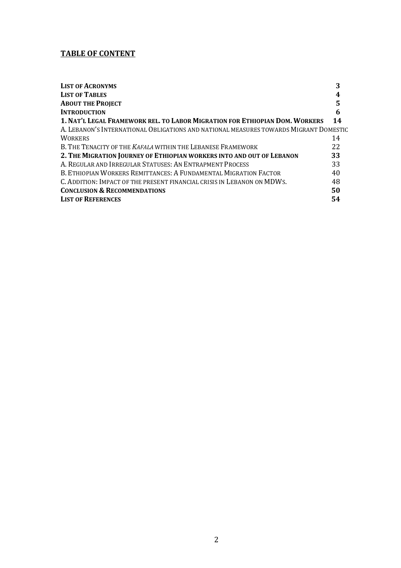## **TABLE OF CONTENT**

| <b>LIST OF ACRONYMS</b>                                                               |    |
|---------------------------------------------------------------------------------------|----|
| <b>LIST OF TABLES</b>                                                                 |    |
| <b>ABOUT THE PROJECT</b>                                                              |    |
| <b>INTRODUCTION</b>                                                                   | 6  |
| 1. NAT'L LEGAL FRAMEWORK REL. TO LABOR MIGRATION FOR ETHIOPIAN DOM. WORKERS           | 14 |
| A. LEBANON'S INTERNATIONAL OBLIGATIONS AND NATIONAL MEASURES TOWARDS MIGRANT DOMESTIC |    |
| <b>WORKERS</b>                                                                        | 14 |
| B. THE TENACITY OF THE KAFALA WITHIN THE LEBANESE FRAMEWORK                           | 22 |
| 2. THE MIGRATION JOURNEY OF ETHIOPIAN WORKERS INTO AND OUT OF LEBANON                 | 33 |
| A. REGULAR AND IRREGULAR STATUSES: AN ENTRAPMENT PROCESS                              | 33 |
| B. ETHIOPIAN WORKERS REMITTANCES: A FUNDAMENTAL MIGRATION FACTOR                      | 40 |
| C. ADDITION: IMPACT OF THE PRESENT FINANCIAL CRISIS IN LEBANON ON MDWS.               | 48 |
| <b>CONCLUSION &amp; RECOMMENDATIONS</b>                                               | 50 |
| <b>LIST OF REFERENCES</b>                                                             |    |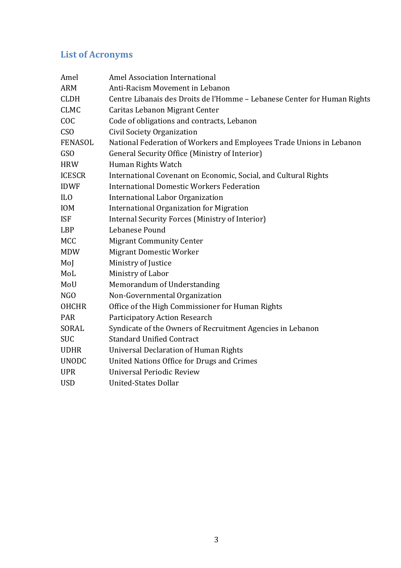## **List of Acronyms**

| Amel            | Amel Association International                                           |
|-----------------|--------------------------------------------------------------------------|
| <b>ARM</b>      | Anti-Racism Movement in Lebanon                                          |
| <b>CLDH</b>     | Centre Libanais des Droits de l'Homme - Lebanese Center for Human Rights |
| <b>CLMC</b>     | Caritas Lebanon Migrant Center                                           |
| COC             | Code of obligations and contracts, Lebanon                               |
| <b>CSO</b>      | Civil Society Organization                                               |
| <b>FENASOL</b>  | National Federation of Workers and Employees Trade Unions in Lebanon     |
| GSO             | <b>General Security Office (Ministry of Interior)</b>                    |
| <b>HRW</b>      | Human Rights Watch                                                       |
| <b>ICESCR</b>   | International Covenant on Economic, Social, and Cultural Rights          |
| <b>IDWF</b>     | <b>International Domestic Workers Federation</b>                         |
| IL <sub>0</sub> | International Labor Organization                                         |
| <b>IOM</b>      | <b>International Organization for Migration</b>                          |
| <b>ISF</b>      | Internal Security Forces (Ministry of Interior)                          |
| <b>LBP</b>      | Lebanese Pound                                                           |
| <b>MCC</b>      | <b>Migrant Community Center</b>                                          |
| <b>MDW</b>      | <b>Migrant Domestic Worker</b>                                           |
| MoJ             | Ministry of Justice                                                      |
| MoL             | Ministry of Labor                                                        |
| MoU             | Memorandum of Understanding                                              |
| NGO             | Non-Governmental Organization                                            |
| <b>OHCHR</b>    | Office of the High Commissioner for Human Rights                         |
| PAR             | Participatory Action Research                                            |
| SORAL           | Syndicate of the Owners of Recruitment Agencies in Lebanon               |
| <b>SUC</b>      | <b>Standard Unified Contract</b>                                         |
| <b>UDHR</b>     | <b>Universal Declaration of Human Rights</b>                             |
| <b>UNODC</b>    | United Nations Office for Drugs and Crimes                               |
| <b>UPR</b>      | Universal Periodic Review                                                |
| <b>USD</b>      | <b>United-States Dollar</b>                                              |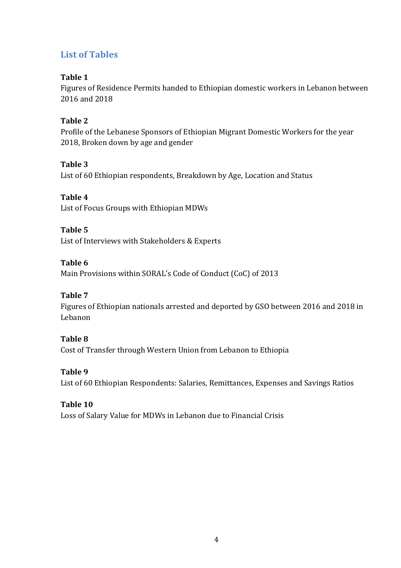## **List of Tables**

## **Table 1**

Figures of Residence Permits handed to Ethiopian domestic workers in Lebanon between 2016 and 2018

## **Table 2**

Profile of the Lebanese Sponsors of Ethiopian Migrant Domestic Workers for the year 2018, Broken down by age and gender

## **Table 3**

List of 60 Ethiopian respondents, Breakdown by Age, Location and Status

## **Table 4**

List of Focus Groups with Ethiopian MDWs

## **Table 5**

List of Interviews with Stakeholders & Experts

## **Table 6**

Main Provisions within SORAL's Code of Conduct (CoC) of 2013

## **Table 7**

Figures of Ethiopian nationals arrested and deported by GSO between 2016 and 2018 in Lebanon

## **Table 8**

Cost of Transfer through Western Union from Lebanon to Ethiopia

## **Table 9**

List of 60 Ethiopian Respondents: Salaries, Remittances, Expenses and Savings Ratios

## **Table 10**

Loss of Salary Value for MDWs in Lebanon due to Financial Crisis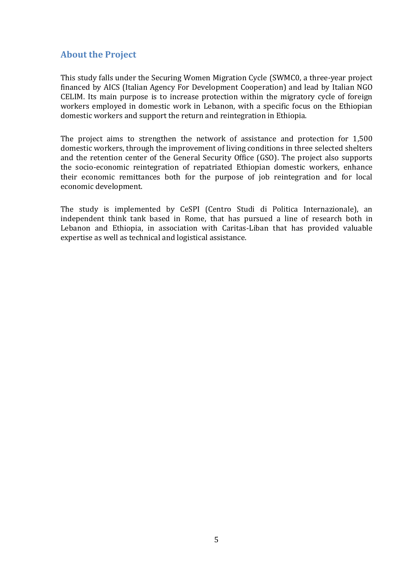## **About the Project**

This study falls under the Securing Women Migration Cycle (SWMC0, a three-year project financed by AICS (Italian Agency For Development Cooperation) and lead by Italian NGO CELIM. Its main purpose is to increase protection within the migratory cycle of foreign workers employed in domestic work in Lebanon, with a specific focus on the Ethiopian domestic workers and support the return and reintegration in Ethiopia.

The project aims to strengthen the network of assistance and protection for 1,500 domestic workers, through the improvement of living conditions in three selected shelters and the retention center of the General Security Office (GSO). The project also supports the socio-economic reintegration of repatriated Ethiopian domestic workers, enhance their economic remittances both for the purpose of job reintegration and for local economic development.

The study is implemented by CeSPI (Centro Studi di Politica Internazionale), an independent think tank based in Rome, that has pursued a line of research both in Lebanon and Ethiopia, in association with Caritas-Liban that has provided valuable expertise as well as technical and logistical assistance.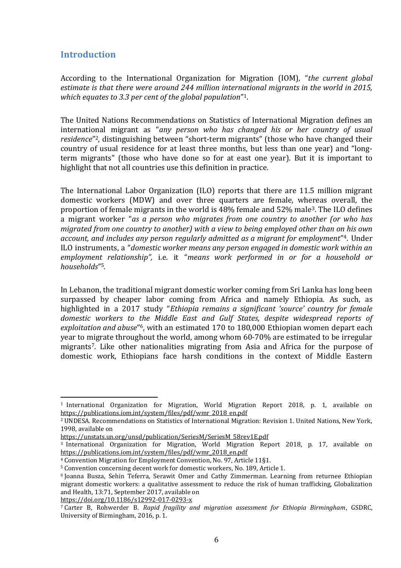## **Introduction**

According to the International Organization for Migration (IOM), "*the current global estimate is that there were around 244 million international migrants in the world in 2015, which equates to 3.3 per cent of the global population*" 1.

The United Nations Recommendations on Statistics of International Migration defines an international migrant as "*any person who has changed his or her country of usual residence*" <sup>2</sup>, distinguishing between "short-term migrants" (those who have changed their country of usual residence for at least three months, but less than one year) and "longterm migrants" (those who have done so for at east one year). But it is important to highlight that not all countries use this definition in practice.

The International Labor Organization (ILO) reports that there are 11.5 million migrant domestic workers (MDW) and over three quarters are female, whereas overall, the proportion of female migrants in the world is 48% female and 52% male3. The ILO defines a migrant worker "*as a person who migrates from one country to another (or who has migrated from one country to another) with a view to being employed other than on his own account, and includes any person regularly admitted as a migrant for employment*" <sup>4</sup>. Under ILO instruments, a "*domestic worker means any person engaged in domestic work within an employment relationship",* i.e. it "*means work performed in or for a household or households*" 5.

In Lebanon, the traditional migrant domestic worker coming from Sri Lanka has long been surpassed by cheaper labor coming from Africa and namely Ethiopia. As such, as highlighted in a 2017 study "*Ethiopia remains a significant 'source' country for female domestic workers to the Middle East and Gulf States, despite widespread reports of exploitation and abuse*" <sup>6</sup>, with an estimated 170 to 180,000 Ethiopian women depart each year to migrate throughout the world, among whom 60-70% are estimated to be irregular migrants7. Like other nationalities migrating from Asia and Africa for the purpose of domestic work, Ethiopians face harsh conditions in the context of Middle Eastern

<https://doi.org/10.1186/s12992-017-0293-x>

<sup>1</sup> International Organization for Migration, World Migration Report 2018, p. 1, available on [https://publications.iom.int/system/files/pdf/wmr\\_2018\\_en.pdf](https://publications.iom.int/system/files/pdf/wmr_2018_en.pdf) 

<sup>2</sup> UNDESA. Recommendations on Statistics of International Migration: Revision 1. United Nations, New York, 1998, available on

[https://unstats.un.org/unsd/publication/SeriesM/SeriesM\\_58rev1E.pdf](https://unstats.un.org/unsd/publication/SeriesM/SeriesM_58rev1E.pdf)

<sup>3</sup> International Organization for Migration, World Migration Report 2018, p. 17, available on [https://publications.iom.int/system/files/pdf/wmr\\_2018\\_en.pdf](https://publications.iom.int/system/files/pdf/wmr_2018_en.pdf)

<sup>4</sup> Convention Migration for Employment Convention, No. 97, Article 11§1.

<sup>5</sup> Convention concerning decent work for domestic workers, No. 189, Article 1.

<sup>6</sup> Joanna Busza, Sehin Teferra, Serawit Omer and Cathy Zimmerman. Learning from returnee Ethiopian migrant domestic workers: a qualitative assessment to reduce the risk of human trafficking, Globalization and Health, 13:71, September 2017, available on

<sup>7</sup> Carter B, Rohwerder B. *Rapid fragility and migration assessment for Ethiopia Birmingham*, GSDRC, University of Birmingham, 2016, p. 1.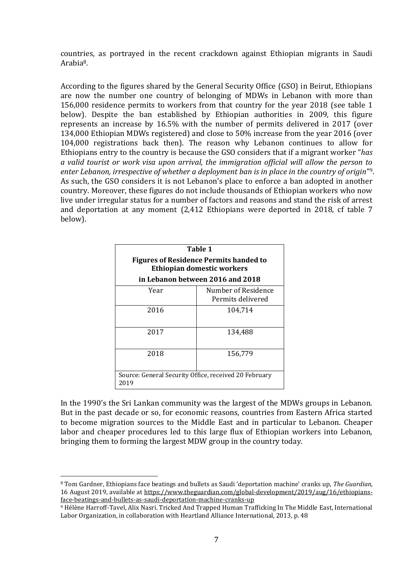countries, as portrayed in the recent crackdown against Ethiopian migrants in Saudi Arabia8.

According to the figures shared by the General Security Office (GSO) in Beirut, Ethiopians are now the number one country of belonging of MDWs in Lebanon with more than 156,000 residence permits to workers from that country for the year 2018 (see table 1 below). Despite the ban established by Ethiopian authorities in 2009, this figure represents an increase by 16.5% with the number of permits delivered in 2017 (over 134,000 Ethiopian MDWs registered) and close to 50% increase from the year 2016 (over 104,000 registrations back then). The reason why Lebanon continues to allow for Ethiopians entry to the country is because the GSO considers that if a migrant worker "*has a valid tourist or work visa upon arrival, the immigration official will allow the person to enter Lebanon, irrespective of whether a deployment ban is in place in the country of origin*" 9. As such, the GSO considers it is not Lebanon's place to enforce a ban adopted in another country. Moreover, these figures do not include thousands of Ethiopian workers who now live under irregular status for a number of factors and reasons and stand the risk of arrest and deportation at any moment (2,412 Ethiopians were deported in 2018, cf table 7 below).

| Table 1                                                                     |                                          |  |  |  |
|-----------------------------------------------------------------------------|------------------------------------------|--|--|--|
| <b>Figures of Residence Permits handed to</b><br>Ethiopian domestic workers |                                          |  |  |  |
|                                                                             | in Lebanon between 2016 and 2018         |  |  |  |
| Year                                                                        | Number of Residence<br>Permits delivered |  |  |  |
| 2016                                                                        | 104,714                                  |  |  |  |
| 2017<br>134,488                                                             |                                          |  |  |  |
| 2018<br>156,779                                                             |                                          |  |  |  |
| Source: General Security Office, received 20 February<br>2019               |                                          |  |  |  |

In the 1990's the Sri Lankan community was the largest of the MDWs groups in Lebanon. But in the past decade or so, for economic reasons, countries from Eastern Africa started to become migration sources to the Middle East and in particular to Lebanon. Cheaper labor and cheaper procedures led to this large flux of Ethiopian workers into Lebanon, bringing them to forming the largest MDW group in the country today.

<sup>8</sup> Tom Gardner, Ethiopians face beatings and bullets as Saudi 'deportation machine' cranks up, *The Guardian*, 16 August 2019, available at [https://www.theguardian.com/global-development/2019/aug/16/ethiopians](https://www.theguardian.com/global-development/2019/aug/16/ethiopians-face-beatings-and-bullets-as-saudi-deportation-machine-cranks-up)[face-beatings-and-bullets-as-saudi-deportation-machine-cranks-up](https://www.theguardian.com/global-development/2019/aug/16/ethiopians-face-beatings-and-bullets-as-saudi-deportation-machine-cranks-up)

<sup>9</sup> Hélène Harroff-Tavel, Alix Nasri. Tricked And Trapped Human Trafficking In The Middle East, International Labor Organization, in collaboration with Heartland Alliance International, 2013, p. 48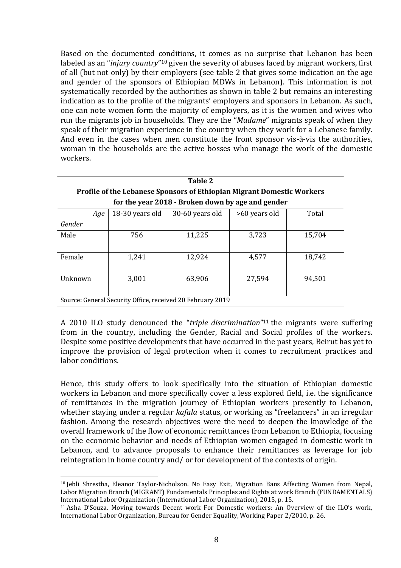Based on the documented conditions, it comes as no surprise that Lebanon has been labeled as an "*injury country*"<sup>10</sup> given the severity of abuses faced by migrant workers, first of all (but not only) by their employers (see table 2 that gives some indication on the age and gender of the sponsors of Ethiopian MDWs in Lebanon). This information is not systematically recorded by the authorities as shown in table 2 but remains an interesting indication as to the profile of the migrants' employers and sponsors in Lebanon. As such, one can note women form the majority of employers, as it is the women and wives who run the migrants job in households. They are the "*Madame*" migrants speak of when they speak of their migration experience in the country when they work for a Lebanese family. And even in the cases when men constitute the front sponsor vis-à-vis the authorities, woman in the households are the active bosses who manage the work of the domestic workers.

| Table 2                                                    |                 |                                                                               |               |        |
|------------------------------------------------------------|-----------------|-------------------------------------------------------------------------------|---------------|--------|
|                                                            |                 | <b>Profile of the Lebanese Sponsors of Ethiopian Migrant Domestic Workers</b> |               |        |
|                                                            |                 | for the year 2018 - Broken down by age and gender                             |               |        |
| Age                                                        | 18-30 years old | 30-60 years old                                                               | >60 years old | Total  |
| Gender                                                     |                 |                                                                               |               |        |
| Male                                                       | 756             | 11,225                                                                        | 3,723         | 15,704 |
|                                                            |                 |                                                                               |               |        |
| Female                                                     | 1,241           | 12,924                                                                        | 4,577         | 18,742 |
|                                                            |                 |                                                                               |               |        |
| Unknown                                                    | 3,001           | 63,906                                                                        | 27,594        | 94,501 |
|                                                            |                 |                                                                               |               |        |
| Source: General Security Office, received 20 February 2019 |                 |                                                                               |               |        |

A 2010 ILO study denounced the "*triple discrimination*" <sup>11</sup> the migrants were suffering from in the country, including the Gender, Racial and Social profiles of the workers. Despite some positive developments that have occurred in the past years, Beirut has yet to improve the provision of legal protection when it comes to recruitment practices and labor conditions.

Hence, this study offers to look specifically into the situation of Ethiopian domestic workers in Lebanon and more specifically cover a less explored field, i.e. the significance of remittances in the migration journey of Ethiopian workers presently to Lebanon, whether staying under a regular *kafala* status, or working as "freelancers" in an irregular fashion. Among the research objectives were the need to deepen the knowledge of the overall framework of the flow of economic remittances from Lebanon to Ethiopia, focusing on the economic behavior and needs of Ethiopian women engaged in domestic work in Lebanon, and to advance proposals to enhance their remittances as leverage for job reintegration in home country and/ or for development of the contexts of origin.

<sup>10</sup> Jebli Shrestha, Eleanor Taylor-Nicholson. No Easy Exit, Migration Bans Affecting Women from Nepal, Labor Migration Branch (MIGRANT) Fundamentals Principles and Rights at work Branch (FUNDAMENTALS) International Labor Organization (International Labor Organization), 2015, p. 15.

<sup>11</sup> Asha D'Souza. Moving towards Decent work For Domestic workers: An Overview of the ILO's work, International Labor Organization, Bureau for Gender Equality, Working Paper 2/2010, p. 26.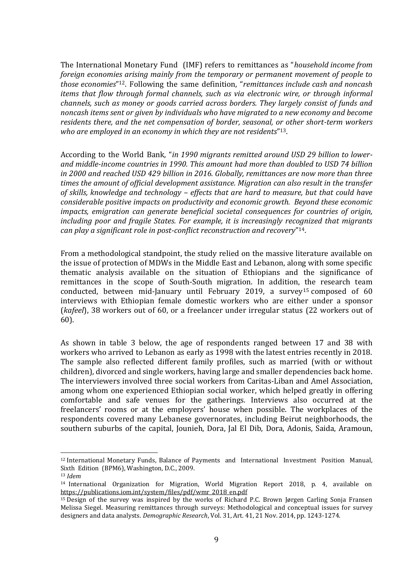The International Monetary Fund (IMF) refers to remittances as "*household income from foreign economies arising mainly from the temporary or permanent movement of people to those economies*" <sup>12</sup>. Following the same definition, "*remittances include cash and noncash items that flow through formal channels, such as via electronic wire, or through informal channels, such as money or goods carried across borders. They largely consist of funds and noncash items sent or given by individuals who have migrated to a new economy and become residents there, and the net compensation of border, seasonal, or other short-term workers who are employed in an economy in which they are not residents*" 13.

According to the World Bank, "*in 1990 migrants remitted around USD 29 billion to lowerand middle-income countries in 1990. This amount had more than doubled to USD 74 billion in 2000 and reached USD 429 billion in 2016. Globally, remittances are now more than three times the amount of official development assistance. Migration can also result in the transfer of skills, knowledge and technology – effects that are hard to measure, but that could have considerable positive impacts on productivity and economic growth. Beyond these economic impacts, emigration can generate beneficial societal consequences for countries of origin, including poor and fragile States. For example, it is increasingly recognized that migrants can play a significant role in post-conflict reconstruction and recovery*" 14.

From a methodological standpoint, the study relied on the massive literature available on the issue of protection of MDWs in the Middle East and Lebanon, along with some specific thematic analysis available on the situation of Ethiopians and the significance of remittances in the scope of South-South migration. In addition, the research team conducted, between mid-January until February 2019, a survey<sup>15</sup> composed of 60 interviews with Ethiopian female domestic workers who are either under a sponsor (*kafeel*), 38 workers out of 60, or a freelancer under irregular status (22 workers out of 60).

As shown in table 3 below, the age of respondents ranged between 17 and 38 with workers who arrived to Lebanon as early as 1998 with the latest entries recently in 2018. The sample also reflected different family profiles, such as married (with or without children), divorced and single workers, having large and smaller dependencies back home. The interviewers involved three social workers from Caritas-Liban and Amel Association, among whom one experienced Ethiopian social worker, which helped greatly in offering comfortable and safe venues for the gatherings. Interviews also occurred at the freelancers' rooms or at the employers' house when possible. The workplaces of the respondents covered many Lebanese governorates, including Beirut neighborhoods, the southern suburbs of the capital, Jounieh, Dora, Jal El Dib, Dora, Adonis, Saida, Aramoun,

<sup>12</sup> International Monetary Funds, Balance of Payments and International Investment Position Manual, Sixth Edition (BPM6), Washington, D.C., 2009.

<sup>13</sup> *Idem*

<sup>14</sup> International Organization for Migration, World Migration Report 2018, p. 4, available on [https://publications.iom.int/system/files/pdf/wmr\\_2018\\_en.pdf](https://publications.iom.int/system/files/pdf/wmr_2018_en.pdf) 

<sup>15</sup> Design of the survey was inspired by the works of Richard P.C. Brown Jørgen Carling Sonja Fransen Melissa Siegel. Measuring remittances through surveys: Methodological and conceptual issues for survey designers and data analysts. *Demographic Research*, Vol. 31, Art. 41, 21 Nov. 2014, pp. 1243-1274.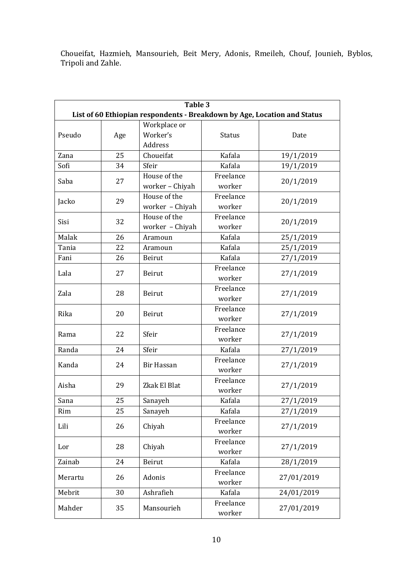Choueifat, Hazmieh, Mansourieh, Beit Mery, Adonis, Rmeileh, Chouf, Jounieh, Byblos, Tripoli and Zahle.

|         | Table 3 |                                                                          |                     |            |
|---------|---------|--------------------------------------------------------------------------|---------------------|------------|
|         |         | List of 60 Ethiopian respondents - Breakdown by Age, Location and Status |                     |            |
| Pseudo  | Age     | Workplace or<br>Worker's<br>Address                                      | <b>Status</b>       | Date       |
| Zana    | 25      | Choueifat                                                                | Kafala              | 19/1/2019  |
| Sofi    | 34      | Sfeir                                                                    | Kafala              | 19/1/2019  |
| Saba    | 27      | House of the<br>worker - Chiyah                                          | Freelance<br>worker | 20/1/2019  |
| Jacko   | 29      | House of the<br>worker - Chiyah                                          | Freelance<br>worker | 20/1/2019  |
| Sisi    | 32      | House of the<br>worker - Chiyah                                          | Freelance<br>worker | 20/1/2019  |
| Malak   | 26      | Aramoun                                                                  | Kafala              | 25/1/2019  |
| Tania   | 22      | Aramoun                                                                  | Kafala              | 25/1/2019  |
| Fani    | 26      | Beirut                                                                   | Kafala              | 27/1/2019  |
| Lala    | 27      | Beirut                                                                   | Freelance<br>worker | 27/1/2019  |
| Zala    | 28      | Beirut                                                                   | Freelance<br>worker | 27/1/2019  |
| Rika    | 20      | Beirut                                                                   | Freelance<br>worker | 27/1/2019  |
| Rama    | 22      | Sfeir                                                                    | Freelance<br>worker | 27/1/2019  |
| Randa   | 24      | Sfeir                                                                    | Kafala              | 27/1/2019  |
| Kanda   | 24      | <b>Bir Hassan</b>                                                        | Freelance<br>worker | 27/1/2019  |
| Aisha   | 29      | Zkak El Blat                                                             | Freelance<br>worker | 27/1/2019  |
| Sana    | 25      | Sanayeh                                                                  | Kafala              | 27/1/2019  |
| Rim     | 25      | Sanayeh                                                                  | Kafala              | 27/1/2019  |
| Lili    | 26      | Chiyah                                                                   | Freelance<br>worker | 27/1/2019  |
| Lor     | 28      | Chiyah                                                                   | Freelance<br>worker | 27/1/2019  |
| Zainab  | 24      | Beirut                                                                   | Kafala              | 28/1/2019  |
| Merartu | 26      | Adonis                                                                   | Freelance<br>worker | 27/01/2019 |
| Mebrit  | 30      | Ashrafieh                                                                | Kafala              | 24/01/2019 |
| Mahder  | 35      | Mansourieh                                                               | Freelance<br>worker | 27/01/2019 |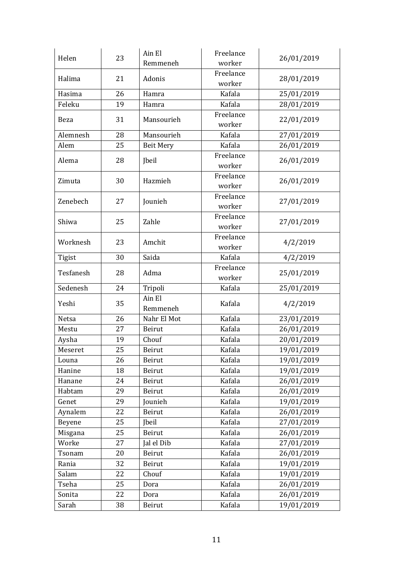| Helen     | 23 | Ain El             | Freelance           | 26/01/2019 |
|-----------|----|--------------------|---------------------|------------|
|           |    | Remmeneh           | worker              |            |
| Halima    | 21 | Adonis             | Freelance<br>worker | 28/01/2019 |
| Hasima    | 26 | Hamra              | Kafala              | 25/01/2019 |
| Feleku    | 19 | Hamra              | Kafala              | 28/01/2019 |
| Beza      | 31 | Mansourieh         | Freelance<br>worker | 22/01/2019 |
| Alemnesh  | 28 | Mansourieh         | Kafala              | 27/01/2019 |
| Alem      | 25 | <b>Beit Mery</b>   | Kafala              | 26/01/2019 |
| Alema     | 28 | Jbeil              | Freelance<br>worker | 26/01/2019 |
| Zimuta    | 30 | Hazmieh            | Freelance<br>worker | 26/01/2019 |
| Zenebech  | 27 | Jounieh            | Freelance<br>worker | 27/01/2019 |
| Shiwa     | 25 | Zahle              | Freelance<br>worker | 27/01/2019 |
| Worknesh  | 23 | Amchit             | Freelance<br>worker | 4/2/2019   |
| Tigist    | 30 | Saida              | Kafala              | 4/2/2019   |
| Tesfanesh | 28 | Adma               | Freelance<br>worker | 25/01/2019 |
| Sedenesh  | 24 | Tripoli            | Kafala              | 25/01/2019 |
| Yeshi     | 35 | Ain El<br>Remmeneh | Kafala              | 4/2/2019   |
| Netsa     | 26 | Nahr El Mot        | Kafala              | 23/01/2019 |
| Mestu     | 27 | Beirut             | Kafala              | 26/01/2019 |
| Aysha     | 19 | Chouf              | Kafala              | 20/01/2019 |
| Meseret   | 25 | Beirut             | Kafala              | 19/01/2019 |
| Louna     | 26 | Beirut             | Kafala              | 19/01/2019 |
| Hanine    | 18 | Beirut             | Kafala              | 19/01/2019 |
| Hanane    | 24 | Beirut             | Kafala              | 26/01/2019 |
| Habtam    | 29 | Beirut             | Kafala              | 26/01/2019 |
| Genet     | 29 | Jounieh            | Kafala              | 19/01/2019 |
| Aynalem   | 22 | Beirut             | Kafala              | 26/01/2019 |
| Beyene    | 25 | Jbeil              | Kafala              | 27/01/2019 |
| Misgana   | 25 | Beirut             | Kafala              | 26/01/2019 |
| Worke     | 27 | Jal el Dib         | Kafala              | 27/01/2019 |
| Tsonam    | 20 | Beirut             | Kafala              | 26/01/2019 |
| Rania     | 32 | Beirut             | Kafala              | 19/01/2019 |
| Salam     | 22 | Chouf              | Kafala              | 19/01/2019 |
| Tseha     | 25 | Dora               | Kafala              | 26/01/2019 |
| Sonita    | 22 | Dora               | Kafala              | 26/01/2019 |
| Sarah     | 38 | Beirut             | Kafala              | 19/01/2019 |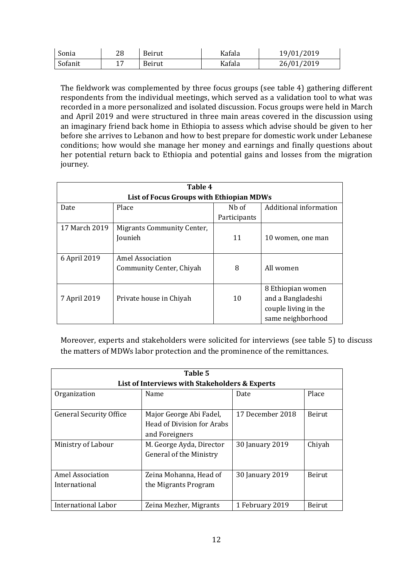| Sonia   | າດ<br>40 | Beirut | Kafala | 19/01/2019 |
|---------|----------|--------|--------|------------|
| Sofanit |          | Beirut | Kafala | 26/01/2019 |

The fieldwork was complemented by three focus groups (see table 4) gathering different respondents from the individual meetings, which served as a validation tool to what was recorded in a more personalized and isolated discussion. Focus groups were held in March and April 2019 and were structured in three main areas covered in the discussion using an imaginary friend back home in Ethiopia to assess which advise should be given to her before she arrives to Lebanon and how to best prepare for domestic work under Lebanese conditions; how would she manage her money and earnings and finally questions about her potential return back to Ethiopia and potential gains and losses from the migration journey.

| Table 4       |                                          |              |                        |
|---------------|------------------------------------------|--------------|------------------------|
|               | List of Focus Groups with Ethiopian MDWs |              |                        |
| Date          | Place                                    | Nb of        | Additional information |
|               |                                          | Participants |                        |
| 17 March 2019 | <b>Migrants Community Center,</b>        |              |                        |
|               | Jounieh                                  | 11           | 10 women, one man      |
|               |                                          |              |                        |
| 6 April 2019  | Amel Association                         |              |                        |
|               | Community Center, Chiyah                 | 8            | All women              |
|               |                                          |              |                        |
|               |                                          |              | 8 Ethiopian women      |
| 7 April 2019  | Private house in Chiyah                  | 10           | and a Bangladeshi      |
|               |                                          |              | couple living in the   |
|               |                                          |              | same neighborhood      |

Moreover, experts and stakeholders were solicited for interviews (see table 5) to discuss the matters of MDWs labor protection and the prominence of the remittances.

| Table 5                                  |                                                                                |                  |               |  |
|------------------------------------------|--------------------------------------------------------------------------------|------------------|---------------|--|
|                                          | List of Interviews with Stakeholders & Experts                                 |                  |               |  |
| Organization                             | Name                                                                           | Date             | Place         |  |
| <b>General Security Office</b>           | Major George Abi Fadel,<br><b>Head of Division for Arabs</b><br>and Foreigners | 17 December 2018 | <b>Beirut</b> |  |
| Ministry of Labour                       | M. George Ayda, Director<br><b>General of the Ministry</b>                     | 30 January 2019  | Chiyah        |  |
| <b>Amel Association</b><br>International | Zeina Mohanna, Head of<br>the Migrants Program                                 | 30 January 2019  | Beirut        |  |
| <b>International Labor</b>               | Zeina Mezher, Migrants                                                         | 1 February 2019  | Beirut        |  |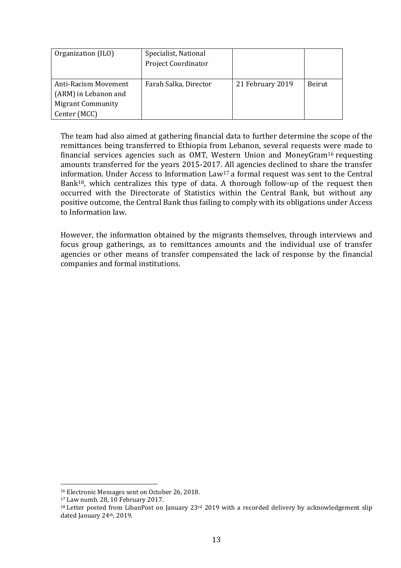| Organization (ILO)       | Specialist, National<br><b>Project Coordinator</b> |                  |               |
|--------------------------|----------------------------------------------------|------------------|---------------|
|                          |                                                    |                  |               |
| Anti-Racism Movement     | Farah Salka, Director                              | 21 February 2019 | <b>Beirut</b> |
| (ARM) in Lebanon and     |                                                    |                  |               |
| <b>Migrant Community</b> |                                                    |                  |               |
| Center (MCC)             |                                                    |                  |               |

The team had also aimed at gathering financial data to further determine the scope of the remittances being transferred to Ethiopia from Lebanon, several requests were made to financial services agencies such as OMT, Western Union and MoneyGram<sup>16</sup> requesting amounts transferred for the years 2015-2017. All agencies declined to share the transfer information. Under Access to Information Law<sup>17</sup> a formal request was sent to the Central Bank18, which centralizes this type of data. A thorough follow-up of the request then occurred with the Directorate of Statistics within the Central Bank, but without any positive outcome, the Central Bank thus failing to comply with its obligations under Access to Information law.

However, the information obtained by the migrants themselves, through interviews and focus group gatherings, as to remittances amounts and the individual use of transfer agencies or other means of transfer compensated the lack of response by the financial companies and formal institutions.

<sup>16</sup> Electronic Messages sent on October 26, 2018.

<sup>17</sup> Law numb. 28, 10 February 2017.

 $18$  Letter posted from LibanPost on January 23<sup>rd</sup> 2019 with a recorded delivery by acknowledgement slip dated January 24th, 2019.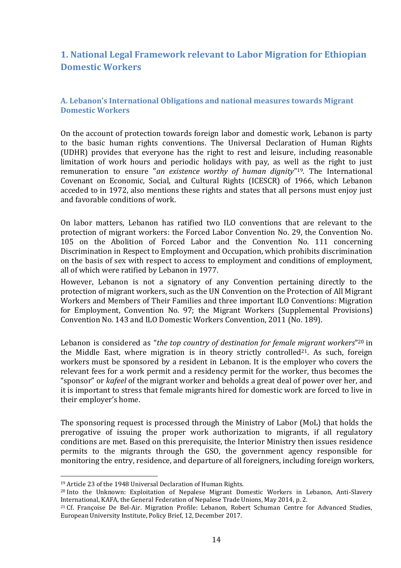## **1. National Legal Framework relevant to Labor Migration for Ethiopian Domestic Workers**

#### **A. Lebanon's International Obligations and national measures towards Migrant Domestic Workers**

On the account of protection towards foreign labor and domestic work, Lebanon is party to the basic human rights conventions. The Universal Declaration of Human Rights (UDHR) provides that everyone has the right to rest and leisure, including reasonable limitation of work hours and periodic holidays with pay, as well as the right to just remuneration to ensure "*an existence worthy of human dignity*" <sup>19</sup>. The International Covenant on Economic, Social, and Cultural Rights (ICESCR) of 1966, which Lebanon acceded to in 1972, also mentions these rights and states that all persons must enjoy just and favorable conditions of work.

On labor matters, Lebanon has ratified two ILO conventions that are relevant to the protection of migrant workers: the Forced Labor Convention No. 29, the Convention No. 105 on the Abolition of Forced Labor and the Convention No. 111 concerning Discrimination in Respect to Employment and Occupation, which prohibits discrimination on the basis of sex with respect to access to employment and conditions of employment, all of which were ratified by Lebanon in 1977.

However, Lebanon is not a signatory of any Convention pertaining directly to the protection of migrant workers, such as the UN Convention on the Protection of All Migrant Workers and Members of Their Families and three important ILO Conventions: Migration for Employment, Convention No. 97; the Migrant Workers (Supplemental Provisions) Convention No. 143 and ILO Domestic Workers Convention, 2011 (No. 189).

Lebanon is considered as "the top country of destination for female migrant workers"<sup>20</sup> in the Middle East, where migration is in theory strictly controlled<sup>21</sup>. As such, foreign workers must be sponsored by a resident in Lebanon. It is the employer who covers the relevant fees for a work permit and a residency permit for the worker, thus becomes the "sponsor" or *kafeel* of the migrant worker and beholds a great deal of power over her, and it is important to stress that female migrants hired for domestic work are forced to live in their employer's home.

The sponsoring request is processed through the Ministry of Labor (MoL) that holds the prerogative of issuing the proper work authorization to migrants, if all regulatory conditions are met. Based on this prerequisite, the Interior Ministry then issues residence permits to the migrants through the GSO, the government agency responsible for monitoring the entry, residence, and departure of all foreigners, including foreign workers,

<sup>19</sup> Article 23 of the 1948 Universal Declaration of Human Rights.

<sup>20</sup> Into the Unknown: Exploitation of Nepalese Migrant Domestic Workers in Lebanon, Anti-Slavery International, KAFA, the General Federation of Nepalese Trade Unions, May 2014, p. 2.

<sup>&</sup>lt;sup>21</sup> Cf. Françoise De Bel-Air. Migration Profile: Lebanon, Robert Schuman Centre for Advanced Studies, European University Institute, Policy Brief, 12, December 2017.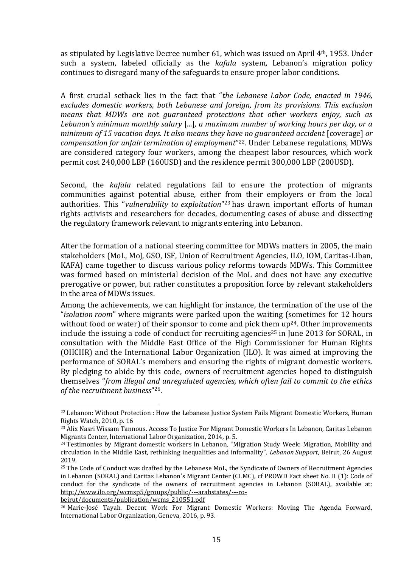as stipulated by Legislative Decree number 61, which was issued on April 4th, 1953. Under such a system, labeled officially as the *kafala* system, Lebanon's migration policy continues to disregard many of the safeguards to ensure proper labor conditions.

A first crucial setback lies in the fact that "*the Lebanese Labor Code, enacted in 1946, excludes domestic workers, both Lebanese and foreign, from its provisions. This exclusion means that MDWs are not guaranteed protections that other workers enjoy, such as Lebanon's minimum monthly salary* [...]*, a maximum number of working hours per day, or a minimum of 15 vacation days. It also means they have no guaranteed accident* [coverage] *or compensation for unfair termination of employment*" <sup>22</sup>. Under Lebanese regulations, MDWs are considered category four workers, among the cheapest labor resources, which work permit cost 240,000 LBP (160USD) and the residence permit 300,000 LBP (200USD).

Second, the *kafala* related regulations fail to ensure the protection of migrants communities against potential abuse, either from their employers or from the local authorities. This "*vulnerability to exploitation*" <sup>23</sup> has drawn important efforts of human rights activists and researchers for decades, documenting cases of abuse and dissecting the regulatory framework relevant to migrants entering into Lebanon.

After the formation of a national steering committee for MDWs matters in 2005, the main stakeholders (MoL, MoJ, GSO, ISF, Union of Recruitment Agencies, ILO, IOM, Caritas-Liban, KAFA) came together to discuss various policy reforms towards MDWs. This Committee was formed based on ministerial decision of the MoL and does not have any executive prerogative or power, but rather constitutes a proposition force by relevant stakeholders in the area of MDWs issues.

Among the achievements, we can highlight for instance, the termination of the use of the "*isolation room*" where migrants were parked upon the waiting (sometimes for 12 hours without food or water) of their sponsor to come and pick them  $up^{24}$ . Other improvements include the issuing a code of conduct for recruiting agencies<sup>25</sup> in June 2013 for SORAL, in consultation with the Middle East Office of the High Commissioner for Human Rights (OHCHR) and the International Labor Organization (ILO). It was aimed at improving the performance of SORAL's members and ensuring the rights of migrant domestic workers. By pledging to abide by this code, owners of recruitment agencies hoped to distinguish themselves "*from illegal and unregulated agencies, which often fail to commit to the ethics of the recruitment business*" 26.

[beirut/documents/publication/wcms\\_210551.pdf](http://www.ilo.org/wcmsp5/groups/public/---arabstates/---ro-beirut/documents/publication/wcms_210551.pdf) 

<sup>&</sup>lt;sup>22</sup> Lebanon: Without Protection : How the Lebanese Justice System Fails Migrant Domestic Workers, Human Rights Watch, 2010, p. 16

<sup>&</sup>lt;sup>23</sup> Alix Nasri Wissam Tannous. Access To Justice For Migrant Domestic Workers In Lebanon, Caritas Lebanon Migrants Center, International Labor Organization, 2014, p. 5.

<sup>24</sup> Testimonies by Migrant domestic workers in Lebanon, "Migration Study Week: Migration, Mobility and circulation in the Middle East, rethinking inequalities and informality", *Lebanon Support*, Beirut, 26 August 2019.

<sup>&</sup>lt;sup>25</sup> The Code of Conduct was drafted by the Lebanese MoL, the Syndicate of Owners of Recruitment Agencies in Lebanon (SORAL) and Caritas Lebanon's Migrant Center (CLMC), cf PROWD Fact sheet No. II (1): Code of conduct for the syndicate of the owners of recruitment agencies in Lebanon (SORAL), available at: [http://www.ilo.org/wcmsp5/groups/public/---arabstates/---ro-](http://www.ilo.org/wcmsp5/groups/public/---arabstates/---ro-beirut/documents/publication/wcms_210551.pdf)

<sup>26</sup> Marie-José Tayah. Decent Work For Migrant Domestic Workers: Moving The Agenda Forward, International Labor Organization, Geneva, 2016, p. 93.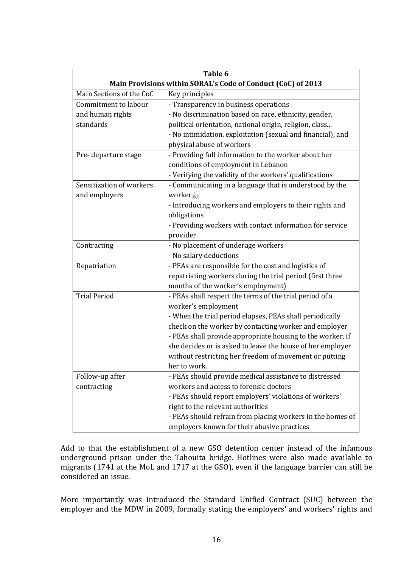| Table 6                                                      |                                                             |  |  |
|--------------------------------------------------------------|-------------------------------------------------------------|--|--|
| Main Provisions within SORAL's Code of Conduct (CoC) of 2013 |                                                             |  |  |
| Main Sections of the CoC                                     | Key principles                                              |  |  |
| Commitment to labour                                         | - Transparency in business operations                       |  |  |
| and human rights                                             | - No discrimination based on race, ethnicity, gender,       |  |  |
| standards                                                    | political orientation, national origin, religion, class     |  |  |
|                                                              | - No intimidation, exploitation (sexual and financial), and |  |  |
|                                                              | physical abuse of workers                                   |  |  |
| Pre-departure stage                                          | - Providing full information to the worker about her        |  |  |
|                                                              | conditions of employment in Lebanon                         |  |  |
|                                                              | - Verifying the validity of the workers' qualifications     |  |  |
| Sensitization of workers                                     | - Communicating in a language that is understood by the     |  |  |
| and employers                                                | workerser                                                   |  |  |
|                                                              | - Introducing workers and employers to their rights and     |  |  |
|                                                              | obligations                                                 |  |  |
|                                                              | - Providing workers with contact information for service    |  |  |
|                                                              | provider                                                    |  |  |
| Contracting                                                  | - No placement of underage workers                          |  |  |
|                                                              | - No salary deductions                                      |  |  |
| Repatriation                                                 | - PEAs are responsible for the cost and logistics of        |  |  |
|                                                              | repatriating workers during the trial period (first three   |  |  |
|                                                              | months of the worker's employment)                          |  |  |
| <b>Trial Period</b>                                          | - PEAs shall respect the terms of the trial period of a     |  |  |
|                                                              | worker's employment                                         |  |  |
|                                                              | - When the trial period elapses, PEAs shall periodically    |  |  |
|                                                              | check on the worker by contacting worker and employer       |  |  |
|                                                              | - PEAs shall provide appropriate housing to the worker, if  |  |  |
|                                                              | she decides or is asked to leave the house of her employer  |  |  |
|                                                              | without restricting her freedom of movement or putting      |  |  |
|                                                              | her to work.                                                |  |  |
| Follow-up after                                              | - PEAs should provide medical assistance to distressed      |  |  |
| contracting                                                  | workers and access to forensic doctors                      |  |  |
|                                                              | - PEAs should report employers' violations of workers'      |  |  |
|                                                              | right to the relevant authorities                           |  |  |
|                                                              | - PEAs should refrain from placing workers in the homes of  |  |  |
|                                                              | employers known for their abusive practices                 |  |  |

Add to that the establishment of a new GSO detention center instead of the infamous underground prison under the Tahouita bridge. Hotlines were also made available to migrants (1741 at the MoL and 1717 at the GSO), even if the language barrier can still be considered an issue.

More importantly was introduced the Standard Unified Contract (SUC) between the employer and the MDW in 2009, formally stating the employers' and workers' rights and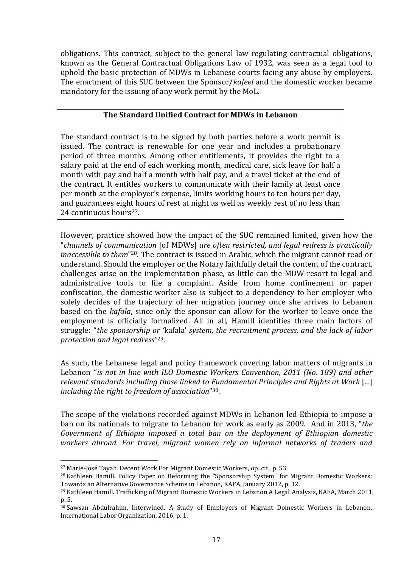obligations. This contract, subject to the general law regulating contractual obligations, known as the General Contractual Obligations Law of 1932, was seen as a legal tool to uphold the basic protection of MDWs in Lebanese courts facing any abuse by employers. The enactment of this SUC between the Sponsor/*kafeel* and the domestic worker became mandatory for the issuing of any work permit by the MoL.

#### **The Standard Unified Contract for MDWs in Lebanon**

The standard contract is to be signed by both parties before a work permit is issued. The contract is renewable for one year and includes a probationary period of three months. Among other entitlements, it provides the right to a salary paid at the end of each working month, medical care, sick leave for half a month with pay and half a month with half pay, and a travel ticket at the end of the contract. It entitles workers to communicate with their family at least once per month at the employer's expense, limits working hours to ten hours per day, and guarantees eight hours of rest at night as well as weekly rest of no less than 24 continuous hours<sup>27</sup>.

However, practice showed how the impact of the SUC remained limited, given how the "*channels of communication* [of MDWs] *are often restricted, and legal redress is practically inaccessible to them*" <sup>28</sup>. The contract is issued in Arabic, which the migrant cannot read or understand. Should the employer or the Notary faithfully detail the content of the contract, challenges arise on the implementation phase, as little can the MDW resort to legal and administrative tools to file a complaint. Aside from home confinement or paper confiscation, the domestic worker also is subject to a dependency to her employer who solely decides of the trajectory of her migration journey once she arrives to Lebanon based on the *kafala*, since only the sponsor can allow for the worker to leave once the employment is officially formalized. All in all, Hamill identifies three main factors of struggle: "*the sponsorship or '*kafala' *system, the recruitment process, and the lack of labor protection and legal redress*" 29.

As such, the Lebanese legal and policy framework covering labor matters of migrants in Lebanon "*is not in line with ILO Domestic Workers Convention, 2011 (No. 189) and other relevant standards including those linked to Fundamental Principles and Rights at Work* [...] *including the right to freedom of association*" 30.

The scope of the violations recorded against MDWs in Lebanon led Ethiopia to impose a ban on its nationals to migrate to Lebanon for work as early as 2009. And in 2013, "*the Government of Ethiopia imposed a total ban on the deployment of Ethiopian domestic workers abroad. For travel, migrant women rely on informal networks of traders and* 

<sup>&</sup>lt;sup>27</sup> Marie-José Tayah. Decent Work For Migrant Domestic Workers, op. cit., p. 53.

<sup>28</sup> Kathleen Hamill. Policy Paper on Reforming the "Sponsorship System" for Migrant Domestic Workers: Towards an Alternative Governance Scheme in Lebanon, KAFA, January 2012, p. 12.

<sup>29</sup> Kathleen Hamill. Trafficking of Migrant Domestic Workers in Lebanon A Legal Analysis, KAFA, March 2011, p. 5.

<sup>30</sup> Sawsan Abdulrahim, Interwined, A Study of Employers of Migrant Domestic Workers in Lebanon, International Labor Organization, 2016, p. 1.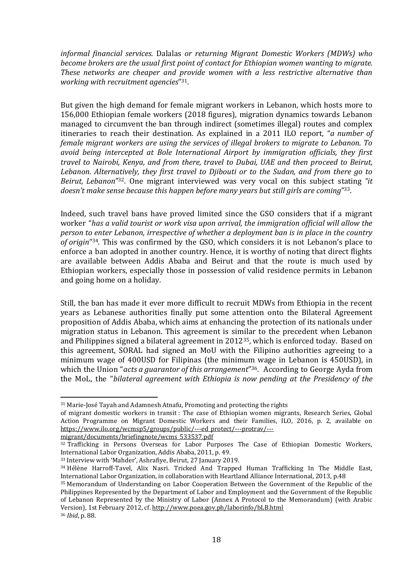*informal financial services.* Dalalas *or returning Migrant Domestic Workers (MDWs) who become brokers are the usual first point of contact for Ethiopian women wanting to migrate. These networks are cheaper and provide women with a less restrictive alternative than working with recruitment agencies*" 31.

But given the high demand for female migrant workers in Lebanon, which hosts more to 156,000 Ethiopian female workers (2018 figures), migration dynamics towards Lebanon managed to circumvent the ban through indirect (sometimes illegal) routes and complex itineraries to reach their destination. As explained in a 2011 ILO report, "*a number of female migrant workers are using the services of illegal brokers to migrate to Lebanon. To avoid being intercepted at Bole International Airport by immigration officials, they first travel to Nairobi, Kenya, and from there, travel to Dubai, UAE and then proceed to Beirut, Lebanon. Alternatively, they first travel to Djibouti or to the Sudan, and from there go to Beirut, Lebanon*" <sup>32</sup>. One migrant interviewed was very vocal on this subject stating *"it doesn't make sense because this happen before many years but still girls are coming*" 33.

Indeed, such travel bans have proved limited since the GSO considers that if a migrant worker "*has a valid tourist or work visa upon arrival, the immigration official will allow the person to enter Lebanon, irrespective of whether a deployment ban is in place in the country of origin*" <sup>34</sup>. This was confirmed by the GSO, which considers it is not Lebanon's place to enforce a ban adopted in another country. Hence, it is worthy of noting that direct flights are available between Addis Ababa and Beirut and that the route is much used by Ethiopian workers, especially those in possession of valid residence permits in Lebanon and going home on a holiday.

Still, the ban has made it ever more difficult to recruit MDWs from Ethiopia in the recent years as Lebanese authorities finally put some attention onto the Bilateral Agreement proposition of Addis Ababa, which aims at enhancing the protection of its nationals under migration status in Lebanon. This agreement is similar to the precedent when Lebanon and Philippines signed a bilateral agreement in 201235, which is enforced today. Based on this agreement, SORAL had signed an MoU with the Filipino authorities agreeing to a minimum wage of 400USD for Filipinas (the minimum wage in Lebanon is 450USD), in which the Union "*acts a guarantor of this arrangement*" <sup>36</sup>. According to George Ayda from the MoL, the "*bilateral agreement with Ethiopia is now pending at the Presidency of the* 

[migrant/documents/briefingnote/wcms\\_533537.pdf](https://www.ilo.org/wcmsp5/groups/public/---ed_protect/---protrav/---migrant/documents/briefingnote/wcms_533537.pdf)

<sup>31</sup> Marie-José Tayah and Adamnesh Atnafu, Promoting and protecting the rights

of migrant domestic workers in transit : The case of Ethiopian women migrants, Research Series, Global Action Programme on Migrant Domestic Workers and their Families, ILO, 2016, p. 2, available on [https://www.ilo.org/wcmsp5/groups/public/---ed\\_protect/---protrav/---](https://www.ilo.org/wcmsp5/groups/public/---ed_protect/---protrav/---migrant/documents/briefingnote/wcms_533537.pdf)

<sup>32</sup> Trafficking in Persons Overseas for Labor Purposes The Case of Ethiopian Domestic Workers, International Labor Organization, Addis Ababa, 2011, p. 49.

<sup>33</sup> Interview with 'Mahder', Ashrafiye, Beirut, 27 January 2019.

<sup>34</sup> Hélène Harroff-Tavel, Alix Nasri. Tricked And Trapped Human Trafficking In The Middle East, International Labor Organization, in collaboration with Heartland Alliance International, 2013, p.48

<sup>35</sup> Memorandum of Understanding on Labor Cooperation Between the Government of the Republic of the Philippines Represented by the Department of Labor and Employment and the Government of the Republic of Lebanon Represented by the Ministry of Labor (Annex A Protocol to the Memorandum) (with Arabic Version), 1st February 2012, cf.<http://www.poea.gov.ph/laborinfo/bLB.html>

<sup>36</sup> *Ibid*, p. 88.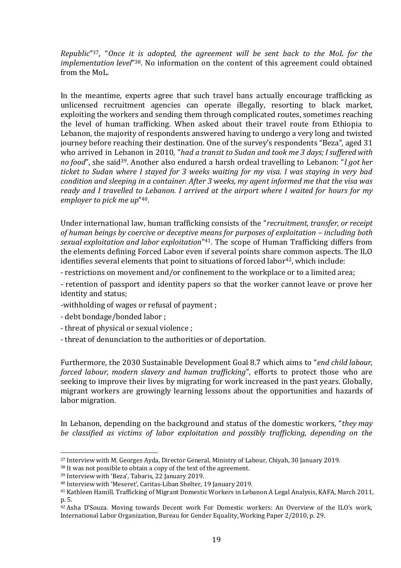*Republic*" <sup>37</sup>, "*Once it is adopted, the agreement will be sent back to the MoL for the implementation level*" <sup>38</sup>. No information on the content of this agreement could obtained from the MoL.

In the meantime, experts agree that such travel bans actually encourage trafficking as unlicensed recruitment agencies can operate illegally, resorting to black market, exploiting the workers and sending them through complicated routes, sometimes reaching the level of human trafficking. When asked about their travel route from Ethiopia to Lebanon, the majority of respondents answered having to undergo a very long and twisted journey before reaching their destination. One of the survey's respondents "Beza", aged 31 who arrived in Lebanon in 2010, "*had a transit to Sudan and took me 3 days; I suffered with no food*", she said39. Another also endured a harsh ordeal travelling to Lebanon: "*I got her ticket to Sudan where I stayed for 3 weeks waiting for my visa. I was staying in very bad condition and sleeping in a container. After 3 weeks, my agent informed me that the visa was ready and I travelled to Lebanon. I arrived at the airport where I waited for hours for my employer to pick me up*" 40.

Under international law, human trafficking consists of the "*recruitment, transfer, or receipt of human beings by coercive or deceptive means for purposes of exploitation – including both sexual exploitation and labor exploitation*" <sup>41</sup>. The scope of Human Trafficking differs from the elements defining Forced Labor even if several points share common aspects. The ILO identifies several elements that point to situations of forced labor $42$ , which include:

- restrictions on movement and/or confinement to the workplace or to a limited area;

- retention of passport and identity papers so that the worker cannot leave or prove her identity and status;

-withholding of wages or refusal of payment ;

- debt bondage/bonded labor ;

- threat of physical or sexual violence ;

- threat of denunciation to the authorities or of deportation.

Furthermore, the 2030 Sustainable Development Goal 8.7 which aims to "*end child labour, forced labour, modern slavery and human trafficking*", efforts to protect those who are seeking to improve their lives by migrating for work increased in the past years. Globally, migrant workers are growingly learning lessons about the opportunities and hazards of labor migration.

In Lebanon, depending on the background and status of the domestic workers, "*they may be classified as victims of labor exploitation and possibly trafficking, depending on the* 

<sup>37</sup> Interview with M. Georges Ayda, Director General, Ministry of Labour, Chiyah, 30 January 2019.

<sup>38</sup> It was not possible to obtain a copy of the text of the agreement.

<sup>39</sup> Interview with 'Beza', Tabaris, 22 January 2019.

<sup>40</sup> Interview with 'Meseret', Caritas-Liban Shelter, 19 January 2019.

<sup>41</sup> Kathleen Hamill. Trafficking of Migrant Domestic Workers in Lebanon A Legal Analysis, KAFA, March 2011, p. 5.

<sup>42</sup> Asha D'Souza. Moving towards Decent work For Domestic workers: An Overview of the ILO's work, International Labor Organization, Bureau for Gender Equality, Working Paper 2/2010, p. 29.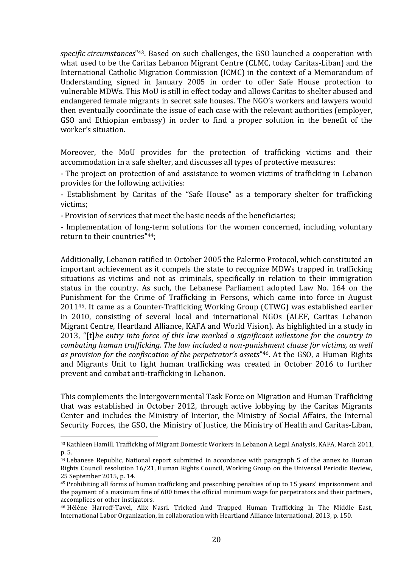*specific circumstances*" <sup>43</sup>. Based on such challenges, the GSO launched a cooperation with what used to be the Caritas Lebanon Migrant Centre (CLMC, today Caritas-Liban) and the International Catholic Migration Commission (ICMC) in the context of a Memorandum of Understanding signed in January 2005 in order to offer Safe House protection to vulnerable MDWs. This MoU is still in effect today and allows Caritas to shelter abused and endangered female migrants in secret safe houses. The NGO's workers and lawyers would then eventually coordinate the issue of each case with the relevant authorities (employer, GSO and Ethiopian embassy) in order to find a proper solution in the benefit of the worker's situation.

Moreover, the MoU provides for the protection of trafficking victims and their accommodation in a safe shelter, and discusses all types of protective measures:

- The project on protection of and assistance to women victims of trafficking in Lebanon provides for the following activities:

- Establishment by Caritas of the "Safe House" as a temporary shelter for trafficking victims;

- Provision of services that meet the basic needs of the beneficiaries;

- Implementation of long-term solutions for the women concerned, including voluntary return to their countries"44;

Additionally, Lebanon ratified in October 2005 the Palermo Protocol, which constituted an important achievement as it compels the state to recognize MDWs trapped in trafficking situations as victims and not as criminals, specifically in relation to their immigration status in the country. As such, the Lebanese Parliament adopted Law No. 164 on the Punishment for the Crime of Trafficking in Persons, which came into force in August 201145. It came as a Counter-Trafficking Working Group (CTWG) was established earlier in 2010, consisting of several local and international NGOs (ALEF, Caritas Lebanon Migrant Centre, Heartland Alliance, KAFA and World Vision). As highlighted in a study in 2013, "[t]*he entry into force of this law marked a significant milestone for the country in combating human trafficking. The law included a non-punishment clause for victims, as well as provision for the confiscation of the perpetrator's assets*" <sup>46</sup>. At the GSO, a Human Rights and Migrants Unit to fight human trafficking was created in October 2016 to further prevent and combat anti-trafficking in Lebanon.

This complements the Intergovernmental Task Force on Migration and Human Trafficking that was established in October 2012, through active lobbying by the Caritas Migrants Center and includes the Ministry of Interior, the Ministry of Social Affairs, the Internal Security Forces, the GSO, the Ministry of Justice, the Ministry of Health and Caritas-Liban,

<sup>43</sup> Kathleen Hamill. Trafficking of Migrant Domestic Workers in Lebanon A Legal Analysis, KAFA, March 2011, p. 5.

<sup>44</sup> Lebanese Republic, National report submitted in accordance with paragraph 5 of the annex to Human Rights Council resolution 16/21, Human Rights Council, Working Group on the Universal Periodic Review, 25 September 2015, p. 14.

<sup>45</sup> Prohibiting all forms of human trafficking and prescribing penalties of up to 15 years' imprisonment and the payment of a maximum fine of 600 times the official minimum wage for perpetrators and their partners, accomplices or other instigators.

<sup>46</sup> Hélène Harroff-Tavel, Alix Nasri. Tricked And Trapped Human Trafficking In The Middle East, International Labor Organization, in collaboration with Heartland Alliance International, 2013, p. 150.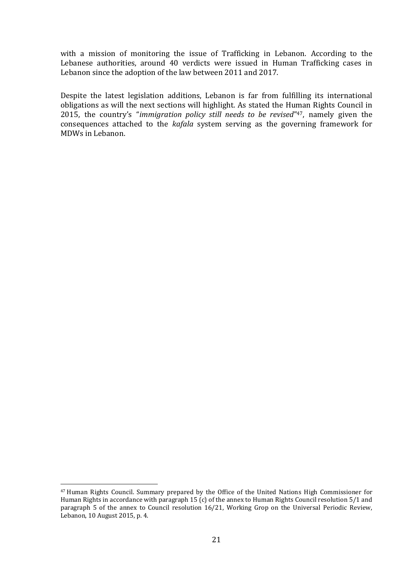with a mission of monitoring the issue of Trafficking in Lebanon. According to the Lebanese authorities, around 40 verdicts were issued in Human Trafficking cases in Lebanon since the adoption of the law between 2011 and 2017.

Despite the latest legislation additions, Lebanon is far from fulfilling its international obligations as will the next sections will highlight. As stated the Human Rights Council in 2015, the country's "*immigration policy still needs to be revised*" <sup>47</sup>, namely given the consequences attached to the *kafala* system serving as the governing framework for MDWs in Lebanon.

<sup>47</sup> Human Rights Council. Summary prepared by the Office of the United Nations High Commissioner for Human Rights in accordance with paragraph 15 (c) of the annex to Human Rights Council resolution 5/1 and paragraph 5 of the annex to Council resolution 16/21, Working Grop on the Universal Periodic Review, Lebanon, 10 August 2015, p. 4.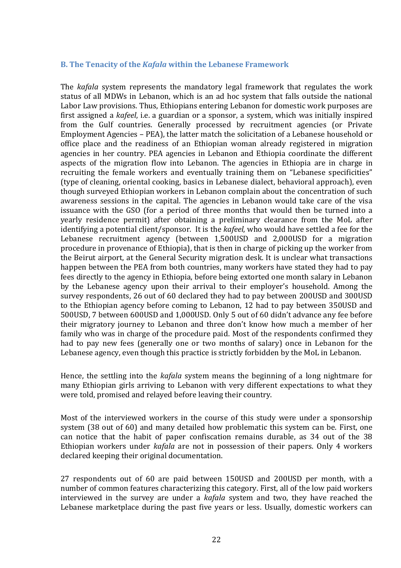#### **B. The Tenacity of the** *Kafala* **within the Lebanese Framework**

The *kafala* system represents the mandatory legal framework that regulates the work status of all MDWs in Lebanon, which is an ad hoc system that falls outside the national Labor Law provisions. Thus, Ethiopians entering Lebanon for domestic work purposes are first assigned a *kafeel*, i.e. a guardian or a sponsor, a system, which was initially inspired from the Gulf countries. Generally processed by recruitment agencies (or Private Employment Agencies – PEA), the latter match the solicitation of a Lebanese household or office place and the readiness of an Ethiopian woman already registered in migration agencies in her country. PEA agencies in Lebanon and Ethiopia coordinate the different aspects of the migration flow into Lebanon. The agencies in Ethiopia are in charge in recruiting the female workers and eventually training them on "Lebanese specificities" (type of cleaning, oriental cooking, basics in Lebanese dialect, behavioral approach), even though surveyed Ethiopian workers in Lebanon complain about the concentration of such awareness sessions in the capital. The agencies in Lebanon would take care of the visa issuance with the GSO (for a period of three months that would then be turned into a yearly residence permit) after obtaining a preliminary clearance from the MoL after identifying a potential client/sponsor. It is the *kafeel*, who would have settled a fee for the Lebanese recruitment agency (between 1,500USD and 2,000USD for a migration procedure in provenance of Ethiopia), that is then in charge of picking up the worker from the Beirut airport, at the General Security migration desk. It is unclear what transactions happen between the PEA from both countries, many workers have stated they had to pay fees directly to the agency in Ethiopia, before being extorted one month salary in Lebanon by the Lebanese agency upon their arrival to their employer's household. Among the survey respondents, 26 out of 60 declared they had to pay between 200USD and 300USD to the Ethiopian agency before coming to Lebanon, 12 had to pay between 350USD and 500USD, 7 between 600USD and 1,000USD. Only 5 out of 60 didn't advance any fee before their migratory journey to Lebanon and three don't know how much a member of her family who was in charge of the procedure paid. Most of the respondents confirmed they had to pay new fees (generally one or two months of salary) once in Lebanon for the Lebanese agency, even though this practice is strictly forbidden by the MoL in Lebanon.

Hence, the settling into the *kafala* system means the beginning of a long nightmare for many Ethiopian girls arriving to Lebanon with very different expectations to what they were told, promised and relayed before leaving their country.

Most of the interviewed workers in the course of this study were under a sponsorship system (38 out of 60) and many detailed how problematic this system can be. First, one can notice that the habit of paper confiscation remains durable, as 34 out of the 38 Ethiopian workers under *kafala* are not in possession of their papers. Only 4 workers declared keeping their original documentation.

27 respondents out of 60 are paid between 150USD and 200USD per month, with a number of common features characterizing this category. First, all of the low paid workers interviewed in the survey are under a *kafala* system and two, they have reached the Lebanese marketplace during the past five years or less. Usually, domestic workers can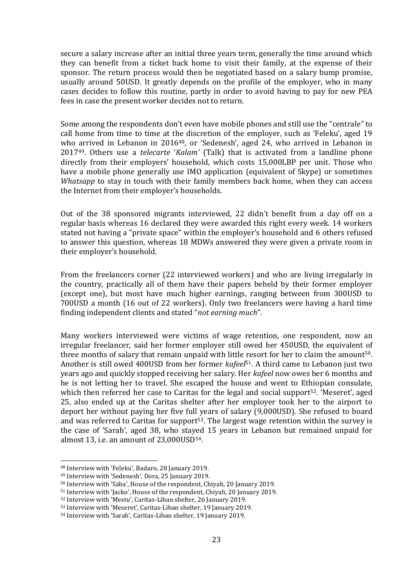secure a salary increase after an initial three years term, generally the time around which they can benefit from a ticket back home to visit their family, at the expense of their sponsor. The return process would then be negotiated based on a salary bump promise, usually around 50USD. It greatly depends on the profile of the employer, who in many cases decides to follow this routine, partly in order to avoid having to pay for new PEA fees in case the present worker decides not to return.

Some among the respondents don't even have mobile phones and still use the "centrale" to call home from time to time at the discretion of the employer, such as 'Feleku', aged 19 who arrived in Lebanon in 2016<sup>48</sup>, or 'Sedenesh', aged 24, who arrived in Lebanon in 201749. Others use a *telecarte* '*Kalam'* (Talk) that is activated from a landline phone directly from their employers' household, which costs 15,000LBP per unit. Those who have a mobile phone generally use IMO application (equivalent of Skype) or sometimes *Whatsapp* to stay in touch with their family members back home, when they can access the Internet from their employer's households.

Out of the 38 sponsored migrants interviewed, 22 didn't benefit from a day off on a regular basis whereas 16 declared they were awarded this right every week. 14 workers stated not having a "private space" within the employer's household and 6 others refused to answer this question, whereas 18 MDWs answered they were given a private room in their employer's household.

From the freelancers corner (22 interviewed workers) and who are living irregularly in the country, practically all of them have their papers beheld by their former employer (except one), but most have much higher earnings, ranging between from 300USD to 700USD a month (16 out of 22 workers). Only two freelancers were having a hard time finding independent clients and stated "*not earning much*".

Many workers interviewed were victims of wage retention, one respondent, now an irregular freelancer, said her former employer still owed her 450USD, the equivalent of three months of salary that remain unpaid with little resort for her to claim the amount<sup>50</sup>. Another is still owed 400USD from her former *kafeel*51. A third came to Lebanon just two years ago and quickly stopped receiving her salary. Her *kafeel* now owes her 6 months and he is not letting her to travel. She escaped the house and went to Ethiopian consulate, which then referred her case to Caritas for the legal and social support<sup>52</sup>. 'Meseret', aged 25, also ended up at the Caritas shelter after her employer took her to the airport to deport her without paying her five full years of salary (9,000USD). She refused to board and was referred to Caritas for support<sup>53</sup>. The largest wage retention within the survey is the case of 'Sarah', aged 38, who stayed 15 years in Lebanon but remained unpaid for almost 13, i.e. an amount of 23,000USD54.

<sup>48</sup> Interview with 'Feleku', Badaro, 28 January 2019.

<sup>49</sup> Interview with 'Sedenesh', Dora, 25 January 2019.

<sup>50</sup> Interview with 'Saba', House of the respondent, Chiyah, 20 January 2019.

<sup>51</sup> Interview with 'Jacko', House of the respondent, Chiyah, 20 January 2019.

<sup>52</sup> Interview with 'Mestu', Caritas-Liban shelter, 26 January 2019.

<sup>53</sup> Interview with 'Meseret', Caritas-Liban shelter, 19 January 2019.

<sup>54</sup> Interview with 'Sarah', Caritas-Liban shelter, 19 January 2019.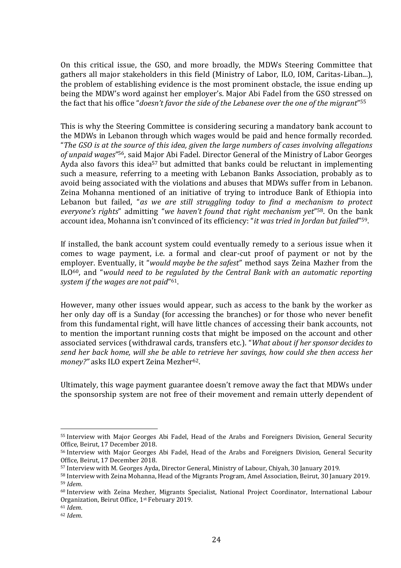On this critical issue, the GSO, and more broadly, the MDWs Steering Committee that gathers all major stakeholders in this field (Ministry of Labor, ILO, IOM, Caritas-Liban...), the problem of establishing evidence is the most prominent obstacle, the issue ending up being the MDW's word against her employer's. Major Abi Fadel from the GSO stressed on the fact that his office "*doesn't favor the side of the Lebanese over the one of the migrant*" 55

This is why the Steering Committee is considering securing a mandatory bank account to the MDWs in Lebanon through which wages would be paid and hence formally recorded. "*The GSO is at the source of this idea, given the large numbers of cases involving allegations of unpaid wages*" <sup>56</sup>, said Major Abi Fadel. Director General of the Ministry of Labor Georges Ayda also favors this idea<sup>57</sup> but admitted that banks could be reluctant in implementing such a measure, referring to a meeting with Lebanon Banks Association, probably as to avoid being associated with the violations and abuses that MDWs suffer from in Lebanon. Zeina Mohanna mentioned of an initiative of trying to introduce Bank of Ethiopia into Lebanon but failed, "*as we are still struggling today to find a mechanism to protect everyone's rights*" admitting "*we haven't found that right mechanism yet*" <sup>58</sup>. On the bank account idea, Mohanna isn't convinced of its efficiency: "*it was tried in Jordan but failed*" 59.

If installed, the bank account system could eventually remedy to a serious issue when it comes to wage payment, i.e. a formal and clear-cut proof of payment or not by the employer. Eventually, it "*would maybe be the safest*" method says Zeina Mazher from the ILO60, and "*would need to be regulated by the Central Bank with an automatic reporting system if the wages are not paid*" 61.

However, many other issues would appear, such as access to the bank by the worker as her only day off is a Sunday (for accessing the branches) or for those who never benefit from this fundamental right, will have little chances of accessing their bank accounts, not to mention the important running costs that might be imposed on the account and other associated services (withdrawal cards, transfers etc.). "*What about if her sponsor decides to send her back home, will she be able to retrieve her savings, how could she then access her money?"* asks ILO expert Zeina Mezher<sup>62</sup>.

Ultimately, this wage payment guarantee doesn't remove away the fact that MDWs under the sponsorship system are not free of their movement and remain utterly dependent of

<sup>55</sup> Interview with Major Georges Abi Fadel, Head of the Arabs and Foreigners Division, General Security Office, Beirut, 17 December 2018.

<sup>56</sup> Interview with Major Georges Abi Fadel, Head of the Arabs and Foreigners Division, General Security Office, Beirut, 17 December 2018.

<sup>57</sup> Interview with M. Georges Ayda, Director General, Ministry of Labour, Chiyah, 30 January 2019.

<sup>58</sup> Interview with Zeina Mohanna, Head of the Migrants Program, Amel Association, Beirut, 30 January 2019. <sup>59</sup> *Idem*.

<sup>60</sup> Interview with Zeina Mezher, Migrants Specialist, National Project Coordinator, International Labour Organization, Beirut Office, 1st February 2019.

<sup>61</sup> *Idem*.

<sup>62</sup> *Idem*.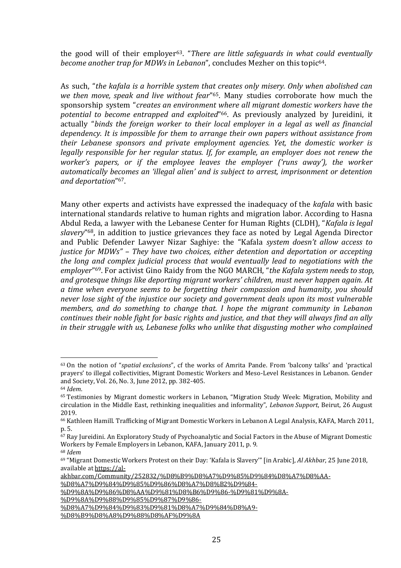the good will of their employer<sup>63</sup>. "*There are little safeguards in what could eventually become another trap for MDWs in Lebanon*", concludes Mezher on this topic<sup>64</sup>.

As such, "*the kafala is a horrible system that creates only misery. Only when abolished can we then move, speak and live without fear*" <sup>65</sup>. Many studies corroborate how much the sponsorship system "*creates an environment where all migrant domestic workers have the potential to become entrapped and exploited*" <sup>66</sup>. As previously analyzed by Jureidini, it actually "*binds the foreign worker to their local employer in a legal as well as financial dependency. It is impossible for them to arrange their own papers without assistance from their Lebanese sponsors and private employment agencies. Yet, the domestic worker is legally responsible for her regular status. If, for example, an employer does not renew the worker's papers, or if the employee leaves the employer ('runs away'), the worker automatically becomes an 'illegal alien' and is subject to arrest, imprisonment or detention and deportation*" 67.

Many other experts and activists have expressed the inadequacy of the *kafala* with basic international standards relative to human rights and migration labor. According to Hasna Abdul Reda, a lawyer with the Lebanese Center for Human Rights (CLDH), "*Kafala is legal slavery*" <sup>68</sup>, in addition to justice grievances they face as noted by Legal Agenda Director and Public Defender Lawyer Nizar Saghiye: the "Kafala *system doesn't allow access to justice for MDWs" – They have two choices, either detention and deportation or accepting the long and complex judicial process that would eventually lead to negotiations with the employer*" <sup>69</sup>. For activist Gino Raidy from the NGO MARCH, "*the Kafala system needs to stop, and grotesque things like deporting migrant workers' children, must never happen again. At a time when everyone seems to be forgetting their compassion and humanity, you should never lose sight of the injustice our society and government deals upon its most vulnerable members, and do something to change that. I hope the migrant community in Lebanon continues their noble fight for basic rights and justice, and that they will always find an ally in their struggle with us, Lebanese folks who unlike that disgusting mother who complained* 

[%D9%8A%D9%88%D9%85%D9%87%D9%86-](https://al-akhbar.com/Community/252832/%D8%B9%D8%A7%D9%85%D9%84%D8%A7%D8%AA-%D8%A7%D9%84%D9%85%D9%86%D8%A7%D8%B2%D9%84-%D9%8A%D9%86%D8%AA%D9%81%D8%B6%D9%86-%D9%81%D9%8A-%D9%8A%D9%88%D9%85%D9%87%D9%86-%D8%A7%D9%84%D9%83%D9%81%D8%A7%D9%84%D8%A9-%D8%B9%D8%A8%25)

<sup>63</sup> On the notion of "*spatial exclusions*", cf the works of Amrita Pande. From 'balcony talks' and 'practical prayers' to illegal collectivities, Migrant Domestic Workers and Meso-Level Resistances in Lebanon. Gender and Society, Vol. 26, No. 3, June 2012, pp. 382-405.

<sup>64</sup> *Idem*.

<sup>65</sup> Testimonies by Migrant domestic workers in Lebanon, "Migration Study Week: Migration, Mobility and circulation in the Middle East, rethinking inequalities and informality", *Lebanon Support*, Beirut, 26 August 2019.

<sup>66</sup> Kathleen Hamill. Trafficking of Migrant Domestic Workers in Lebanon A Legal Analysis, KAFA, March 2011, p. 5.

<sup>67</sup> Ray Jureidini. An Exploratory Study of Psychoanalytic and Social Factors in the Abuse of Migrant Domestic Workers by Female Employers in Lebanon, KAFA, January 2011, p. 9.

<sup>68</sup> *Idem*

<sup>69</sup> "Migrant Domestic Workers Protest on their Day: 'Kafala is Slavery'" [in Arabic], *Al Akhbar*, 25 June 2018, available at [https://al-](https://al-akhbar.com/Community/252832/%D8%B9%D8%A7%D9%85%D9%84%D8%A7%D8%AA-%D8%A7%D9%84%D9%85%D9%86%D8%A7%D8%B2%D9%84-%D9%8A%D9%86%D8%AA%D9%81%D8%B6%D9%86-%D9%81%D9%8A-%D9%8A%D9%88%D9%85%D9%87%D9%86-%D8%A7%D9%84%D9%83%D9%81%D8%A7%D9%84%D8%A9-%D8%B9%D8%A8%25)

[akhbar.com/Community/252832/%D8%B9%D8%A7%D9%85%D9%84%D8%A7%D8%AA-](https://al-akhbar.com/Community/252832/%D8%B9%D8%A7%D9%85%D9%84%D8%A7%D8%AA-%D8%A7%D9%84%D9%85%D9%86%D8%A7%D8%B2%D9%84-%D9%8A%D9%86%D8%AA%D9%81%D8%B6%D9%86-%D9%81%D9%8A-%D9%8A%D9%88%D9%85%D9%87%D9%86-%D8%A7%D9%84%D9%83%D9%81%D8%A7%D9%84%D8%A9-%D8%B9%D8%A8%25)

[<sup>%</sup>D8%A7%D9%84%D9%85%D9%86%D8%A7%D8%B2%D9%84-](https://al-akhbar.com/Community/252832/%D8%B9%D8%A7%D9%85%D9%84%D8%A7%D8%AA-%D8%A7%D9%84%D9%85%D9%86%D8%A7%D8%B2%D9%84-%D9%8A%D9%86%D8%AA%D9%81%D8%B6%D9%86-%D9%81%D9%8A-%D9%8A%D9%88%D9%85%D9%87%D9%86-%D8%A7%D9%84%D9%83%D9%81%D8%A7%D9%84%D8%A9-%D8%B9%D8%A8%25)

[<sup>%</sup>D9%8A%D9%86%D8%AA%D9%81%D8%B6%D9%86-%D9%81%D9%8A-](https://al-akhbar.com/Community/252832/%D8%B9%D8%A7%D9%85%D9%84%D8%A7%D8%AA-%D8%A7%D9%84%D9%85%D9%86%D8%A7%D8%B2%D9%84-%D9%8A%D9%86%D8%AA%D9%81%D8%B6%D9%86-%D9%81%D9%8A-%D9%8A%D9%88%D9%85%D9%87%D9%86-%D8%A7%D9%84%D9%83%D9%81%D8%A7%D9%84%D8%A9-%D8%B9%D8%A8%25)

[<sup>%</sup>D8%A7%D9%84%D9%83%D9%81%D8%A7%D9%84%D8%A9-](https://al-akhbar.com/Community/252832/%D8%B9%D8%A7%D9%85%D9%84%D8%A7%D8%AA-%D8%A7%D9%84%D9%85%D9%86%D8%A7%D8%B2%D9%84-%D9%8A%D9%86%D8%AA%D9%81%D8%B6%D9%86-%D9%81%D9%8A-%D9%8A%D9%88%D9%85%D9%87%D9%86-%D8%A7%D9%84%D9%83%D9%81%D8%A7%D9%84%D8%A9-%D8%B9%D8%A8%25)

[<sup>%</sup>D8%B9%D8%A8%D9%88%D8%AF%D9%8A](https://al-akhbar.com/Community/252832/%D8%B9%D8%A7%D9%85%D9%84%D8%A7%D8%AA-%D8%A7%D9%84%D9%85%D9%86%D8%A7%D8%B2%D9%84-%D9%8A%D9%86%D8%AA%D9%81%D8%B6%D9%86-%D9%81%D9%8A-%D9%8A%D9%88%D9%85%D9%87%D9%86-%D8%A7%D9%84%D9%83%D9%81%D8%A7%D9%84%D8%A9-%D8%B9%D8%A8%25)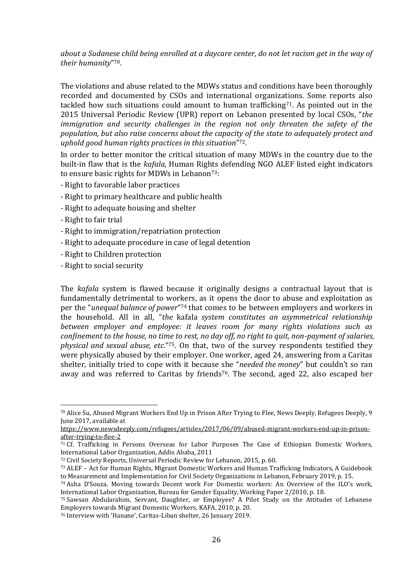*about a Sudanese child being enrolled at a daycare center, do not let racism get in the way of their humanity*" 70.

The violations and abuse related to the MDWs status and conditions have been thoroughly recorded and documented by CSOs and international organizations. Some reports also tackled how such situations could amount to human trafficking71. As pointed out in the 2015 Universal Periodic Review (UPR) report on Lebanon presented by local CSOs, "*the immigration and security challenges in the region not only threaten the safety of the population, but also raise concerns about the capacity of the state to adequately protect and uphold good human rights practices in this situation*" <sup>72</sup>.

In order to better monitor the critical situation of many MDWs in the country due to the built-in flaw that is the *kafala*, Human Rights defending NGO ALEF listed eight indicators to ensure basic rights for MDWs in Lebanon<sup>73</sup>:

- Right to favorable labor practices
- Right to primary healthcare and public health
- Right to adequate housing and shelter
- Right to fair trial
- Right to immigration/repatriation protection
- Right to adequate procedure in case of legal detention
- Right to Children protection
- Right to social security

The *kafala* system is flawed because it originally designs a contractual layout that is fundamentally detrimental to workers, as it opens the door to abuse and exploitation as per the "*unequal balance of power*" <sup>74</sup> that comes to be between employers and workers in the household. All in all, "*the* kafala *system constitutes an asymmetrical relationship between employer and employee: it leaves room for many rights violations such as confinement to the house, no time to rest, no day off, no right to quit, non-payment of salaries, physical and sexual abuse, etc.*" <sup>75</sup>. On that, two of the survey respondents testified they were physically abused by their employer. One worker, aged 24, answering from a Caritas shelter, initially tried to cope with it because she "*needed the money*" but couldn't so ran away and was referred to Caritas by friends<sup>76</sup>. The second, aged 22, also escaped her

<sup>76</sup> Interview with 'Hanane', Caritas-Liban shelter, 26 January 2019.

<sup>70</sup> Alice Su, Abused Migrant Workers End Up in Prison After Trying to Flee, News Deeply, Refugees Deeply, 9 June 2017, available at

[https://www.newsdeeply.com/refugees/articles/2017/06/09/abused-migrant-workers-end-up-in-prison](https://www.newsdeeply.com/refugees/articles/2017/06/09/abused-migrant-workers-end-up-in-prison-after-trying-to-flee-2)[after-trying-to-flee-2](https://www.newsdeeply.com/refugees/articles/2017/06/09/abused-migrant-workers-end-up-in-prison-after-trying-to-flee-2)

<sup>71</sup> Cf. Trafficking in Persons Overseas for Labor Purposes The Case of Ethiopian Domestic Workers, International Labor Organization, Addis Ababa, 2011

<sup>72</sup> Civil Society Reports, Universal Periodic Review for Lebanon, 2015, p. 60.

<sup>73</sup> ALEF – Act for Human Rights, Migrant Domestic Workers and Human Trafficking Indicators, A Guidebook to Measurement and Implementation for Civil Society Organizations in Lebanon, February 2019, p. 15.

<sup>74</sup> Asha D'Souza. Moving towards Decent work For Domestic workers: An Overview of the ILO's work, International Labor Organization, Bureau for Gender Equality, Working Paper 2/2010, p. 18.

<sup>75</sup> Sawsan Abdularahim, Servant, Daughter, or Employee? A Pilot Study on the Attitudes of Lebanese Employers towards Migrant Domestic Workers, KAFA, 2010, p. 20.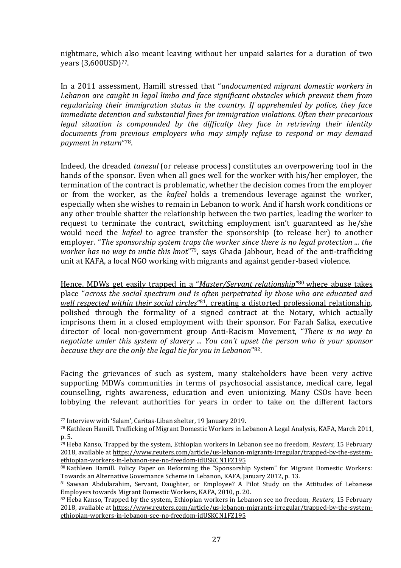nightmare, which also meant leaving without her unpaid salaries for a duration of two years (3,600USD)77.

In a 2011 assessment, Hamill stressed that "*undocumented migrant domestic workers in Lebanon are caught in legal limbo and face significant obstacles which prevent them from regularizing their immigration status in the country. If apprehended by police, they face immediate detention and substantial fines for immigration violations. Often their precarious legal situation is compounded by the difficulty they face in retrieving their identity documents from previous employers who may simply refuse to respond or may demand payment in return*" 78.

Indeed, the dreaded *tanezul* (or release process) constitutes an overpowering tool in the hands of the sponsor. Even when all goes well for the worker with his/her employer, the termination of the contract is problematic, whether the decision comes from the employer or from the worker, as the *kafeel* holds a tremendous leverage against the worker, especially when she wishes to remain in Lebanon to work. And if harsh work conditions or any other trouble shatter the relationship between the two parties, leading the worker to request to terminate the contract, switching employment isn't guaranteed as he/she would need the *kafeel* to agree transfer the sponsorship (to release her) to another employer. "*The sponsorship system traps the worker since there is no legal protection ... the worker has no way to untie this knot*" <sup>79</sup>, says Ghada Jabbour, head of the anti-trafficking unit at KAFA, a local NGO working with migrants and against gender-based violence.

Hence, MDWs get easily trapped in a "*Master/Servant relationship*" <sup>80</sup> where abuse takes place "*across the social spectrum and is often perpetrated by those who are educated and well respected within their social circles*" <sup>81</sup>, creating a distorted professional relationship, polished through the formality of a signed contract at the Notary, which actually imprisons them in a closed employment with their sponsor. For Farah Salka, executive director of local non-government group Anti-Racism Movement, "*There is no way to negotiate under this system of slavery ... You can't upset the person who is your sponsor because they are the only the legal tie for you in Lebanon*" <sup>82</sup>.

Facing the grievances of such as system, many stakeholders have been very active supporting MDWs communities in terms of psychosocial assistance, medical care, legal counselling, rights awareness, education and even unionizing. Many CSOs have been lobbying the relevant authorities for years in order to take on the different factors

<sup>77</sup> Interview with 'Salam', Caritas-Liban shelter, 19 January 2019.

<sup>78</sup> Kathleen Hamill. Trafficking of Migrant Domestic Workers in Lebanon A Legal Analysis, KAFA, March 2011, p. 5.

<sup>79</sup> Heba Kanso, Trapped by the system, Ethiopian workers in Lebanon see no freedom, *Reuters*, 15 February 2018, available a[t https://www.reuters.com/article/us-lebanon-migrants-irregular/trapped-by-the-system](https://www.reuters.com/article/us-lebanon-migrants-irregular/trapped-by-the-system-ethiopian-workers-in-lebanon-see-no-freedom-idUSKCN1FZ195)[ethiopian-workers-in-lebanon-see-no-freedom-idUSKCN1FZ195](https://www.reuters.com/article/us-lebanon-migrants-irregular/trapped-by-the-system-ethiopian-workers-in-lebanon-see-no-freedom-idUSKCN1FZ195)

<sup>80</sup> Kathleen Hamill. Policy Paper on Reforming the "Sponsorship System" for Migrant Domestic Workers: Towards an Alternative Governance Scheme in Lebanon, KAFA, January 2012, p. 13.

<sup>81</sup> Sawsan Abdularahim, Servant, Daughter, or Employee? A Pilot Study on the Attitudes of Lebanese Employers towards Migrant Domestic Workers, KAFA, 2010, p. 20.

<sup>82</sup> Heba Kanso, Trapped by the system, Ethiopian workers in Lebanon see no freedom, *Reuters*, 15 February 2018, available a[t https://www.reuters.com/article/us-lebanon-migrants-irregular/trapped-by-the-system](https://www.reuters.com/article/us-lebanon-migrants-irregular/trapped-by-the-system-ethiopian-workers-in-lebanon-see-no-freedom-idUSKCN1FZ195)[ethiopian-workers-in-lebanon-see-no-freedom-idUSKCN1FZ195](https://www.reuters.com/article/us-lebanon-migrants-irregular/trapped-by-the-system-ethiopian-workers-in-lebanon-see-no-freedom-idUSKCN1FZ195)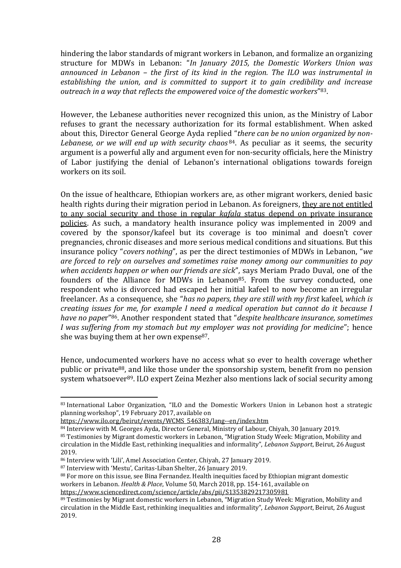hindering the labor standards of migrant workers in Lebanon, and formalize an organizing structure for MDWs in Lebanon: "*In January 2015, the Domestic Workers Union was announced in Lebanon – the first of its kind in the region. The ILO was instrumental in establishing the union, and is committed to support it to gain credibility and increase outreach in a way that reflects the empowered voice of the domestic workers*" 83.

However, the Lebanese authorities never recognized this union, as the Ministry of Labor refuses to grant the necessary authorization for its formal establishment. When asked about this, Director General George Ayda replied "*there can be no union organized by non-Lebanese, or we will end up with security chaos* <sup>84</sup>. As peculiar as it seems, the security argument is a powerful ally and argument even for non-security officials, here the Ministry of Labor justifying the denial of Lebanon's international obligations towards foreign workers on its soil.

On the issue of healthcare, Ethiopian workers are, as other migrant workers, denied basic health rights during their migration period in Lebanon. As foreigners, they are not entitled to any social security and those in regular *kafala* status depend on private insurance policies. As such, a mandatory health insurance policy was implemented in 2009 and covered by the sponsor/kafeel but its coverage is too minimal and doesn't cover pregnancies, chronic diseases and more serious medical conditions and situations. But this insurance policy "*covers nothing*", as per the direct testimonies of MDWs in Lebanon, "*we are forced to rely on ourselves and sometimes raise money among our communities to pay when accidents happen or when our friends are sick*", says Meriam Prado Duval, one of the founders of the Alliance for MDWs in Lebanon<sup>85</sup>. From the survey conducted, one respondent who is divorced had escaped her initial kafeel to now become an irregular freelancer. As a consequence, she "*has no papers, they are still with my first* kafeel*, which is creating issues for me, for example I need a medical operation but cannot do it because I have no pape*r"86. Another respondent stated that "*despite healthcare insurance, sometimes I was suffering from my stomach but my employer was not providing for medicine*"; hence she was buying them at her own expense<sup>87</sup>.

Hence, undocumented workers have no access what so ever to health coverage whether public or private88, and like those under the sponsorship system, benefit from no pension system whatsoever<sup>89</sup>. ILO expert Zeina Mezher also mentions lack of social security among

<sup>83</sup> International Labor Organization, "ILO and the Domestic Workers Union in Lebanon host a strategic planning workshop", 19 February 2017, available on

[https://www.ilo.org/beirut/events/WCMS\\_546383/lang--en/index.htm](https://www.ilo.org/beirut/events/WCMS_546383/lang--en/index.htm)

<sup>84</sup> Interview with M. Georges Ayda, Director General, Ministry of Labour, Chiyah, 30 January 2019.

<sup>85</sup> Testimonies by Migrant domestic workers in Lebanon, "Migration Study Week: Migration, Mobility and circulation in the Middle East, rethinking inequalities and informality", *Lebanon Support*, Beirut, 26 August 2019.

<sup>86</sup> Interview with 'Lili', Amel Association Center, Chiyah, 27 January 2019.

<sup>87</sup> Interview with 'Mestu', Caritas-Liban Shelter, 26 January 2019.

<sup>88</sup> For more on this issue, see Bina Fernandez. Health inequities faced by Ethiopian migrant domestic workers in Lebanon. *Health & Place*, Volume 50, March 2018, pp. 154-161, available on <https://www.sciencedirect.com/science/article/abs/pii/S1353829217305981>

<sup>89</sup> Testimonies by Migrant domestic workers in Lebanon, "Migration Study Week: Migration, Mobility and circulation in the Middle East, rethinking inequalities and informality", *Lebanon Support*, Beirut, 26 August 2019.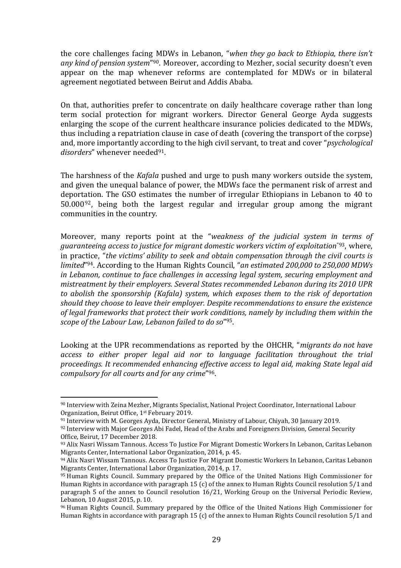the core challenges facing MDWs in Lebanon, "*when they go back to Ethiopia, there isn't any kind of pension system*" <sup>90</sup>. Moreover, according to Mezher, social security doesn't even appear on the map whenever reforms are contemplated for MDWs or in bilateral agreement negotiated between Beirut and Addis Ababa.

On that, authorities prefer to concentrate on daily healthcare coverage rather than long term social protection for migrant workers. Director General George Ayda suggests enlarging the scope of the current healthcare insurance policies dedicated to the MDWs, thus including a repatriation clause in case of death (covering the transport of the corpse) and, more importantly according to the high civil servant, to treat and cover "*psychological*  disorders" whenever needed<sup>91</sup>.

The harshness of the *Kafala* pushed and urge to push many workers outside the system, and given the unequal balance of power, the MDWs face the permanent risk of arrest and deportation. The GSO estimates the number of irregular Ethiopians in Lebanon to 40 to 50.00092, being both the largest regular and irregular group among the migrant communities in the country.

Moreover, many reports point at the "*weakness of the judicial system in terms of guaranteeing access to justice for migrant domestic workers victim of exploitation*"93, where, in practice, "*the victims' ability to seek and obtain compensation through the civil courts is limited*" <sup>94</sup>. According to the Human Rights Council, "*an estimated 200,000 to 250,000 MDWs in Lebanon, continue to face challenges in accessing legal system, securing employment and mistreatment by their employers. Several States recommended Lebanon during its 2010 UPR to abolish the sponsorship (Kafala) system, which exposes them to the risk of deportation should they choose to leave their employer. Despite recommendations to ensure the existence of legal frameworks that protect their work conditions, namely by including them within the scope of the Labour Law, Lebanon failed to do so*" 95.

Looking at the UPR recommendations as reported by the OHCHR, "*migrants do not have access to either proper legal aid nor to language facilitation throughout the trial proceedings. It recommended enhancing effective access to legal aid, making State legal aid compulsory for all courts and for any crime*" 96.

<sup>90</sup> Interview with Zeina Mezher, Migrants Specialist, National Project Coordinator, International Labour Organization, Beirut Office, 1st February 2019.

<sup>91</sup> Interview with M. Georges Ayda, Director General, Ministry of Labour, Chiyah, 30 January 2019.

<sup>92</sup> Interview with Major Georges Abi Fadel, Head of the Arabs and Foreigners Division, General Security Office, Beirut, 17 December 2018.

<sup>93</sup> Alix Nasri Wissam Tannous. Access To Justice For Migrant Domestic Workers In Lebanon, Caritas Lebanon Migrants Center, International Labor Organization, 2014, p. 45.

<sup>94</sup> Alix Nasri Wissam Tannous. Access To Justice For Migrant Domestic Workers In Lebanon, Caritas Lebanon Migrants Center, International Labor Organization, 2014, p. 17.

<sup>&</sup>lt;sup>95</sup> Human Rights Council. Summary prepared by the Office of the United Nations High Commissioner for Human Rights in accordance with paragraph 15 (c) of the annex to Human Rights Council resolution 5/1 and paragraph 5 of the annex to Council resolution 16/21, Working Group on the Universal Periodic Review, Lebanon, 10 August 2015, p. 10.

<sup>96</sup> Human Rights Council. Summary prepared by the Office of the United Nations High Commissioner for Human Rights in accordance with paragraph 15 (c) of the annex to Human Rights Council resolution 5/1 and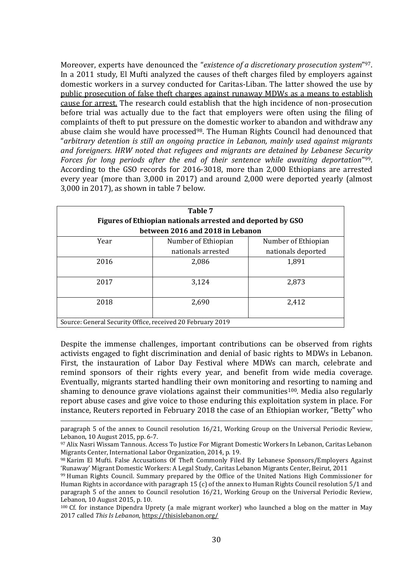Moreover, experts have denounced the "*existence of a discretionary prosecution system*" <sup>97</sup>. In a 2011 study, El Mufti analyzed the causes of theft charges filed by employers against domestic workers in a survey conducted for Caritas-Liban. The latter showed the use by public prosecution of false theft charges against runaway MDWs as a means to establish cause for arrest. The research could establish that the high incidence of non-prosecution before trial was actually due to the fact that employers were often using the filing of complaints of theft to put pressure on the domestic worker to abandon and withdraw any abuse claim she would have processed<sup>98</sup>. The Human Rights Council had denounced that "*arbitrary detention is still an ongoing practice in Lebanon, mainly used against migrants and foreigners. HRW noted that refugees and migrants are detained by Lebanese Security Forces for long periods after the end of their sentence while awaiting deportation*" <sup>99</sup>. According to the GSO records for 2016-3018, more than 2,000 Ethiopians are arrested every year (more than 3,000 in 2017) and around 2,000 were deported yearly (almost 3,000 in 2017), as shown in table 7 below.

| Table 7<br>Figures of Ethiopian nationals arrested and deported by GSO<br>between 2016 and 2018 in Lebanon |       |       |  |  |
|------------------------------------------------------------------------------------------------------------|-------|-------|--|--|
| Year<br>Number of Ethiopian<br>Number of Ethiopian<br>nationals arrested<br>nationals deported             |       |       |  |  |
| 2016                                                                                                       | 2,086 | 1,891 |  |  |
| 2017<br>2,873<br>3,124                                                                                     |       |       |  |  |
| 2018                                                                                                       | 2,690 | 2,412 |  |  |
| Source: General Security Office, received 20 February 2019                                                 |       |       |  |  |

Despite the immense challenges, important contributions can be observed from rights activists engaged to fight discrimination and denial of basic rights to MDWs in Lebanon. First, the instauration of Labor Day Festival where MDWs can march, celebrate and remind sponsors of their rights every year, and benefit from wide media coverage. Eventually, migrants started handling their own monitoring and resorting to naming and shaming to denounce grave violations against their communities<sup>100</sup>. Media also regularly report abuse cases and give voice to those enduring this exploitation system in place. For instance, Reuters reported in February 2018 the case of an Ethiopian worker, "Betty" who

paragraph 5 of the annex to Council resolution 16/21, Working Group on the Universal Periodic Review, Lebanon, 10 August 2015, pp. 6-7.

<sup>97</sup> Alix Nasri Wissam Tannous. Access To Justice For Migrant Domestic Workers In Lebanon, Caritas Lebanon Migrants Center, International Labor Organization, 2014, p. 19.

<sup>98</sup> Karim El Mufti. False Accusations Of Theft Commonly Filed By Lebanese Sponsors/Employers Against 'Runaway' Migrant Domestic Workers: A Legal Study, Caritas Lebanon Migrants Center, Beirut, 2011

<sup>99</sup> Human Rights Council. Summary prepared by the Office of the United Nations High Commissioner for Human Rights in accordance with paragraph 15 (c) of the annex to Human Rights Council resolution 5/1 and paragraph 5 of the annex to Council resolution 16/21, Working Group on the Universal Periodic Review, Lebanon, 10 August 2015, p. 10.

<sup>100</sup> Cf. for instance Dipendra Uprety (a male migrant worker) who launched a blog on the matter in May 2017 called *This Is Lebanon*,<https://thisislebanon.org/>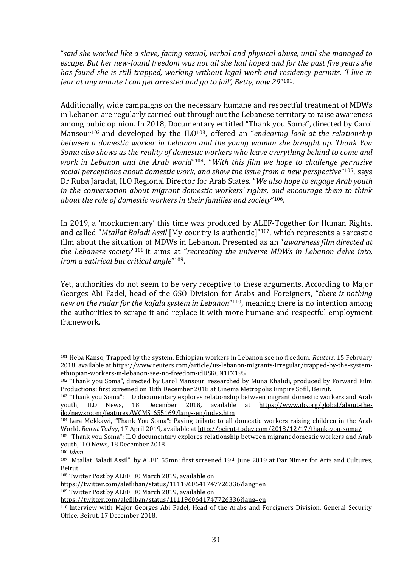"*said she worked like a slave, facing sexual, verbal and physical abuse, until she managed to escape. But her new-found freedom was not all she had hoped and for the past five years she has found she is still trapped, working without legal work and residency permits. 'I live in fear at any minute I can get arrested and go to jail', Betty, now 29*" <sup>101</sup>.

Additionally, wide campaigns on the necessary humane and respectful treatment of MDWs in Lebanon are regularly carried out throughout the Lebanese territory to raise awareness among pubic opinion. In 2018, Documentary entitled "Thank you Soma", directed by Carol Mansour<sup>102</sup> and developed by the ILO<sup>103</sup>, offered an "*endearing look at the relationship between a domestic worker in Lebanon and the young woman she brought up. Thank You Soma also shows us the reality of domestic workers who leave everything behind to come and work in Lebanon and the Arab world*" <sup>104</sup>. "*With this film we hope to challenge pervasive social perceptions about domestic work, and show the issue from a new perspective*" <sup>105</sup>, says Dr Ruba Jaradat, ILO Regional Director for Arab States. "*We also hope to engage Arab youth in the conversation about migrant domestic workers' rights, and encourage them to think about the role of domestic workers in their families and society*" <sup>106</sup>.

In 2019, a 'mockumentary' this time was produced by ALEF-Together for Human Rights, and called "*Mtallat Baladi Assil* [My country is authentic]" <sup>107</sup>, which represents a sarcastic film about the situation of MDWs in Lebanon. Presented as an "*awareness film directed at*  the Lebanese society"<sup>108</sup> it aims at "recreating the universe MDWs in Lebanon delve into, *from a satirical but critical angle*" <sup>109</sup>.

Yet, authorities do not seem to be very receptive to these arguments. According to Major Georges Abi Fadel, head of the GSO Division for Arabs and Foreigners, "*there is nothing new on the radar for the kafala system in Lebanon*" <sup>110</sup>, meaning there is no intention among the authorities to scrape it and replace it with more humane and respectful employment framework.

<sup>101</sup> Heba Kanso, Trapped by the system, Ethiopian workers in Lebanon see no freedom, *Reuters*, 15 February 2018, available a[t https://www.reuters.com/article/us-lebanon-migrants-irregular/trapped-by-the-system](https://www.reuters.com/article/us-lebanon-migrants-irregular/trapped-by-the-system-ethiopian-workers-in-lebanon-see-no-freedom-idUSKCN1FZ195)[ethiopian-workers-in-lebanon-see-no-freedom-idUSKCN1FZ195](https://www.reuters.com/article/us-lebanon-migrants-irregular/trapped-by-the-system-ethiopian-workers-in-lebanon-see-no-freedom-idUSKCN1FZ195)

<sup>102</sup> "Thank you Soma", directed by Carol Mansour, researched by Muna Khalidi, produced by Forward Film Productions; first screened on 18th December 2018 at Cinema Metropolis Empire Sofil, Beirut.

<sup>103</sup> "Thank you Soma": ILO documentary explores relationship between migrant domestic workers and Arab youth, ILO News, 18 December 2018, available at [https://www.ilo.org/global/about-the](https://www.ilo.org/global/about-the-ilo/newsroom/features/WCMS_655169/lang--en/index.htm)[ilo/newsroom/features/WCMS\\_655169/lang--en/index.htm](https://www.ilo.org/global/about-the-ilo/newsroom/features/WCMS_655169/lang--en/index.htm)

<sup>104</sup> Lara Mekkawi, "Thank You Soma": Paying tribute to all domestic workers raising children in the Arab World, *Beirut Today*, 17 April 2019, available a[t http://beirut-today.com/2018/12/17/thank-you-soma/](http://beirut-today.com/2018/12/17/thank-you-soma/)

<sup>105</sup> "Thank you Soma": ILO documentary explores relationship between migrant domestic workers and Arab youth, ILO News, 18 December 2018.

<sup>106</sup> *Idem*.

<sup>107 &</sup>quot;Mtallat Baladi Assil", by ALEF, 55mn; first screened 19<sup>th</sup> June 2019 at Dar Nimer for Arts and Cultures, Beirut

<sup>108</sup> Twitter Post by ALEF, 30 March 2019, available on

<https://twitter.com/alefliban/status/1111960641747726336?lang=en>

<sup>109</sup> Twitter Post by ALEF, 30 March 2019, available on

<https://twitter.com/alefliban/status/1111960641747726336?lang=en>

<sup>110</sup> Interview with Major Georges Abi Fadel, Head of the Arabs and Foreigners Division, General Security Office, Beirut, 17 December 2018.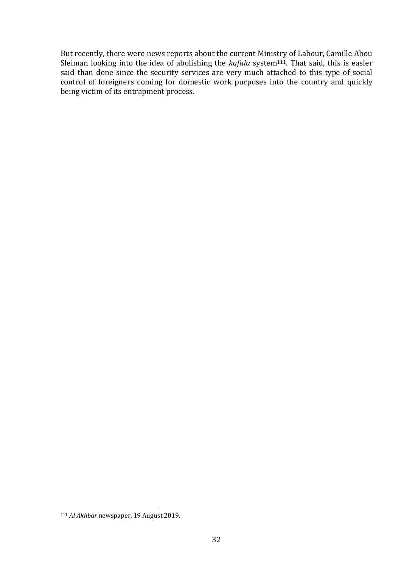But recently, there were news reports about the current Ministry of Labour, Camille Abou Sleiman looking into the idea of abolishing the *kafala* system<sup>111</sup>. That said, this is easier said than done since the security services are very much attached to this type of social control of foreigners coming for domestic work purposes into the country and quickly being victim of its entrapment process.

<sup>111</sup> *Al Akhbar* newspaper, 19 August 2019.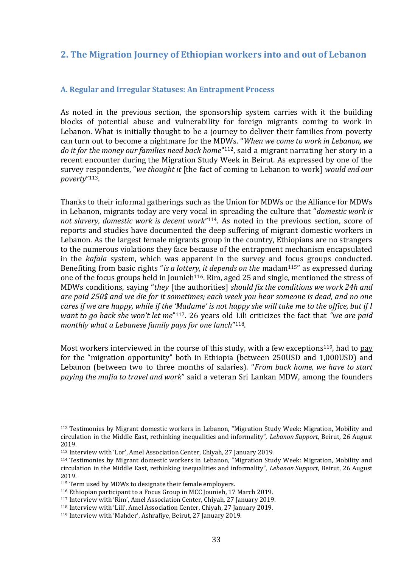## **2. The Migration Journey of Ethiopian workers into and out of Lebanon**

#### **A. Regular and Irregular Statuses: An Entrapment Process**

As noted in the previous section, the sponsorship system carries with it the building blocks of potential abuse and vulnerability for foreign migrants coming to work in Lebanon. What is initially thought to be a journey to deliver their families from poverty can turn out to become a nightmare for the MDWs. "*When we come to work in Lebanon, we do it for the money our families need back home*" <sup>112</sup>, said a migrant narrating her story in a recent encounter during the Migration Study Week in Beirut. As expressed by one of the survey respondents, "*we thought it* [the fact of coming to Lebanon to work] *would end our poverty*" <sup>113</sup>.

Thanks to their informal gatherings such as the Union for MDWs or the Alliance for MDWs in Lebanon, migrants today are very vocal in spreading the culture that "*domestic work is not slavery, domestic work is decent work*" <sup>114</sup>. As noted in the previous section, score of reports and studies have documented the deep suffering of migrant domestic workers in Lebanon. As the largest female migrants group in the country, Ethiopians are no strangers to the numerous violations they face because of the entrapment mechanism encapsulated in the *kafala* system, which was apparent in the survey and focus groups conducted. Benefiting from basic rights "*is a lottery, it depends on the* madam<sup>115</sup>" as expressed during one of the focus groups held in Jounieh<sup>116</sup>. Rim, aged 25 and single, mentioned the stress of MDWs conditions, saying "*they* [the authorities] *should fix the conditions we work 24h and are paid 250\$ and we die for it sometimes; each week you hear someone is dead, and no one cares if we are happy, while if the 'Madame' is not happy she will take me to the office, but if I want to go back she won't let me*" <sup>117</sup>. 26 years old Lili criticizes the fact that *"we are paid monthly what a Lebanese family pays for one lunch*" <sup>118</sup>.

Most workers interviewed in the course of this study, with a few exceptions<sup>119</sup>, had to pay for the "migration opportunity" both in Ethiopia (between 250USD and 1,000USD) and Lebanon (between two to three months of salaries). "*From back home, we have to start paying the mafia to travel and work*" said a veteran Sri Lankan MDW, among the founders

<sup>112</sup> Testimonies by Migrant domestic workers in Lebanon, "Migration Study Week: Migration, Mobility and circulation in the Middle East, rethinking inequalities and informality", *Lebanon Support*, Beirut, 26 August 2019.

<sup>113</sup> Interview with 'Lor', Amel Association Center, Chiyah, 27 January 2019.

<sup>114</sup> Testimonies by Migrant domestic workers in Lebanon, "Migration Study Week: Migration, Mobility and circulation in the Middle East, rethinking inequalities and informality", *Lebanon Support*, Beirut, 26 August 2019.

<sup>&</sup>lt;sup>115</sup> Term used by MDWs to designate their female employers.

<sup>116</sup> Ethiopian participant to a Focus Group in MCC Jounieh, 17 March 2019.

<sup>117</sup> Interview with 'Rim', Amel Association Center, Chiyah, 27 January 2019.

<sup>118</sup> Interview with 'Lili', Amel Association Center, Chiyah, 27 January 2019.

<sup>119</sup> Interview with 'Mahder', Ashrafiye, Beirut, 27 January 2019.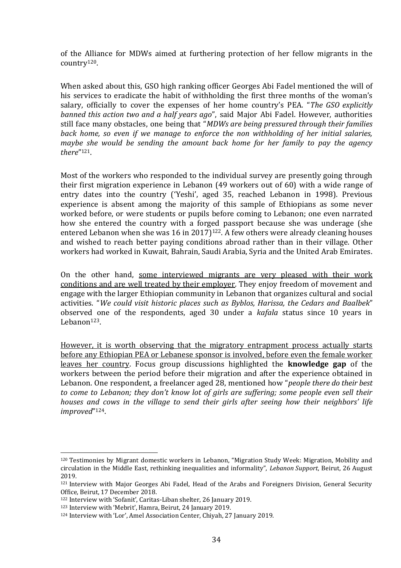of the Alliance for MDWs aimed at furthering protection of her fellow migrants in the country120.

When asked about this, GSO high ranking officer Georges Abi Fadel mentioned the will of his services to eradicate the habit of withholding the first three months of the woman's salary, officially to cover the expenses of her home country's PEA. "*The GSO explicitly banned this action two and a half years ago*", said Major Abi Fadel. However, authorities still face many obstacles, one being that "*MDWs are being pressured through their families back home, so even if we manage to enforce the non withholding of her initial salaries, maybe she would be sending the amount back home for her family to pay the agency there*" <sup>121</sup>.

Most of the workers who responded to the individual survey are presently going through their first migration experience in Lebanon (49 workers out of 60) with a wide range of entry dates into the country ('Yeshi', aged 35, reached Lebanon in 1998). Previous experience is absent among the majority of this sample of Ethiopians as some never worked before, or were students or pupils before coming to Lebanon; one even narrated how she entered the country with a forged passport because she was underage (she entered Lebanon when she was  $16$  in  $2017$ <sup> $122$ </sup>. A few others were already cleaning houses and wished to reach better paying conditions abroad rather than in their village. Other workers had worked in Kuwait, Bahrain, Saudi Arabia, Syria and the United Arab Emirates.

On the other hand, some interviewed migrants are very pleased with their work conditions and are well treated by their employer. They enjoy freedom of movement and engage with the larger Ethiopian community in Lebanon that organizes cultural and social activities. "*We could visit historic places such as Byblos, Harissa, the Cedars and Baalbek*" observed one of the respondents, aged 30 under a *kafala* status since 10 years in Lebanon123.

However, it is worth observing that the migratory entrapment process actually starts before any Ethiopian PEA or Lebanese sponsor is involved, before even the female worker leaves her country. Focus group discussions highlighted the **knowledge gap** of the workers between the period before their migration and after the experience obtained in Lebanon. One respondent, a freelancer aged 28, mentioned how "*people there do their best to come to Lebanon; they don't know lot of girls are suffering; some people even sell their houses and cows in the village to send their girls after seeing how their neighbors' life improved*" <sup>124</sup>.

<sup>120</sup> Testimonies by Migrant domestic workers in Lebanon, "Migration Study Week: Migration, Mobility and circulation in the Middle East, rethinking inequalities and informality", *Lebanon Support*, Beirut, 26 August 2019.

<sup>&</sup>lt;sup>121</sup> Interview with Major Georges Abi Fadel, Head of the Arabs and Foreigners Division, General Security Office, Beirut, 17 December 2018.

<sup>122</sup> Interview with 'Sofanit', Caritas-Liban shelter, 26 January 2019.

<sup>123</sup> Interview with 'Mebrit', Hamra, Beirut, 24 January 2019.

<sup>124</sup> Interview with 'Lor', Amel Association Center, Chiyah, 27 January 2019.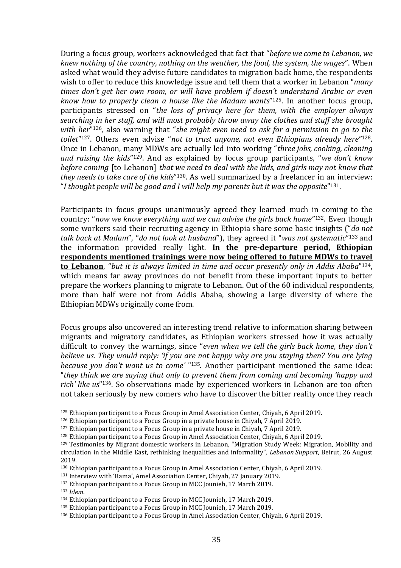During a focus group, workers acknowledged that fact that "*before we come to Lebanon, we knew nothing of the country, nothing on the weather, the food, the system, the wages*". When asked what would they advise future candidates to migration back home, the respondents wish to offer to reduce this knowledge issue and tell them that a worker in Lebanon "*many times don't get her own room, or will have problem if doesn't understand Arabic or even know how to properly clean a house like the Madam wants*" <sup>125</sup>. In another focus group, participants stressed on "*the loss of privacy here for them, with the employer always searching in her stuff, and will most probably throw away the clothes and stuff she brought with her*" <sup>126</sup>, also warning that "*she might even need to ask for a permission to go to the toilet*" <sup>127</sup>. Others even advise "*not to trust anyone, not even Ethiopians already here*" <sup>128</sup>. Once in Lebanon, many MDWs are actually led into working "*three jobs, cooking, cleaning and raising the kids*" <sup>129</sup>. And as explained by focus group participants, "*we don't know before coming* [to Lebanon] *that we need to deal with the kids, and girls may not know that they needs to take care of the kids*" <sup>130</sup>. As well summarized by a freelancer in an interview: "*I thought people will be good and I will help my parents but it was the opposite*" <sup>131</sup>.

Participants in focus groups unanimously agreed they learned much in coming to the country: "*now we know everything and we can advise the girls back home*" <sup>132</sup>. Even though some workers said their recruiting agency in Ethiopia share some basic insights ("*do not talk back at Madam*", "*do not look at husband*"), they agreed it "*was not systematic*" <sup>133</sup> and the information provided really light. **In the pre-departure period, Ethiopian respondents mentioned trainings were now being offered to future MDWs to travel to Lebanon**, "*but it is always limited in time and occur presently only in Addis Ababa*" <sup>134</sup>, which means far away provinces do not benefit from these important inputs to better prepare the workers planning to migrate to Lebanon. Out of the 60 individual respondents, more than half were not from Addis Ababa, showing a large diversity of where the Ethiopian MDWs originally come from.

Focus groups also uncovered an interesting trend relative to information sharing between migrants and migratory candidates, as Ethiopian workers stressed how it was actually difficult to convey the warnings, since "*even when we tell the girls back home, they don't believe us. They would reply: 'if you are not happy why are you staying then? You are lying because you don't want us to come'* " <sup>135</sup>. Another participant mentioned the same idea: "*they think we are saying that only to prevent them from coming and becoming 'happy and rich' like us*" <sup>136</sup>. So observations made by experienced workers in Lebanon are too often not taken seriously by new comers who have to discover the bitter reality once they reach

<sup>125</sup> Ethiopian participant to a Focus Group in Amel Association Center, Chiyah, 6 April 2019.

<sup>126</sup> Ethiopian participant to a Focus Group in a private house in Chiyah, 7 April 2019.

<sup>127</sup> Ethiopian participant to a Focus Group in a private house in Chiyah, 7 April 2019.

<sup>128</sup> Ethiopian participant to a Focus Group in Amel Association Center, Chiyah, 6 April 2019.

<sup>129</sup> Testimonies by Migrant domestic workers in Lebanon, "Migration Study Week: Migration, Mobility and circulation in the Middle East, rethinking inequalities and informality", *Lebanon Support*, Beirut, 26 August 2019.

<sup>130</sup> Ethiopian participant to a Focus Group in Amel Association Center, Chiyah, 6 April 2019.

<sup>131</sup> Interview with 'Rama', Amel Association Center, Chiyah, 27 January 2019.

<sup>132</sup> Ethiopian participant to a Focus Group in MCC Jounieh, 17 March 2019.

<sup>133</sup> *Idem*.

<sup>134</sup> Ethiopian participant to a Focus Group in MCC Jounieh, 17 March 2019.

<sup>135</sup> Ethiopian participant to a Focus Group in MCC Jounieh, 17 March 2019.

<sup>136</sup> Ethiopian participant to a Focus Group in Amel Association Center, Chiyah, 6 April 2019.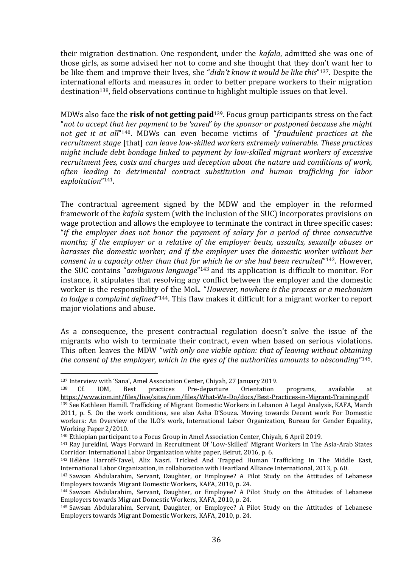their migration destination. One respondent, under the *kafala*, admitted she was one of those girls, as some advised her not to come and she thought that they don't want her to be like them and improve their lives, she "*didn't know it would be like this*" <sup>137</sup>. Despite the international efforts and measures in order to better prepare workers to their migration destination<sup>138</sup>, field observations continue to highlight multiple issues on that level.

MDWs also face the **risk of not getting paid**139. Focus group participants stress on the fact "*not to accept that her payment to be 'saved' by the sponsor or postponed because she might not get it at all*" <sup>140</sup>. MDWs can even become victims of "*fraudulent practices at the recruitment stage* [that] *can leave low-skilled workers extremely vulnerable. These practices might include debt bondage linked to payment by low‑skilled migrant workers of excessive recruitment fees, costs and charges and deception about the nature and conditions of work, often leading to detrimental contract substitution and human trafficking for labor exploitation*" <sup>141</sup>.

The contractual agreement signed by the MDW and the employer in the reformed framework of the *kafala* system (with the inclusion of the SUC) incorporates provisions on wage protection and allows the employee to terminate the contract in three specific cases: "*if the employer does not honor the payment of salary for a period of three consecutive months; if the employer or a relative of the employer beats, assaults, sexually abuses or harasses the domestic worker; and if the employer uses the domestic worker without her consent in a capacity other than that for which he or she had been recruited*" <sup>142</sup>. However, the SUC contains "*ambiguous language*" <sup>143</sup> and its application is difficult to monitor. For instance, it stipulates that resolving any conflict between the employer and the domestic worker is the responsibility of the MoL. "*However, nowhere is the process or a mechanism to lodge a complaint defined*" <sup>144</sup>. This flaw makes it difficult for a migrant worker to report major violations and abuse.

As a consequence, the present contractual regulation doesn't solve the issue of the migrants who wish to terminate their contract, even when based on serious violations. This often leaves the MDW "*with only one viable option: that of leaving without obtaining the consent of the employer, which in the eyes of the authorities amounts to absconding*" <sup>145</sup>.

<sup>137</sup> Interview with 'Sana', Amel Association Center, Chiyah, 27 January 2019.

<sup>138</sup> Cf. IOM, Best practices Pre-departure Orientation programs, available at <https://www.iom.int/files/live/sites/iom/files/What-We-Do/docs/Best-Practices-in-Migrant-Training.pdf> <sup>139</sup> See Kathleen Hamill. Trafficking of Migrant Domestic Workers in Lebanon A Legal Analysis, KAFA, March 2011, p. 5. On the work conditions, see also Asha D'Souza. Moving towards Decent work For Domestic workers: An Overview of the ILO's work, International Labor Organization, Bureau for Gender Equality, Working Paper 2/2010.

<sup>140</sup> Ethiopian participant to a Focus Group in Amel Association Center, Chiyah, 6 April 2019.

<sup>141</sup> Ray Jureidini, Ways Forward In Recruitment Of 'Low-Skilled' Migrant Workers In The Asia-Arab States Corridor: International Labor Organization white paper, Beirut, 2016, p. 6.

<sup>142</sup> Hélène Harroff-Tavel, Alix Nasri. Tricked And Trapped Human Trafficking In The Middle East, International Labor Organization, in collaboration with Heartland Alliance International, 2013, p. 60.

<sup>143</sup> Sawsan Abdularahim, Servant, Daughter, or Employee? A Pilot Study on the Attitudes of Lebanese Employers towards Migrant Domestic Workers, KAFA, 2010, p. 24.

<sup>144</sup> Sawsan Abdularahim, Servant, Daughter, or Employee? A Pilot Study on the Attitudes of Lebanese Employers towards Migrant Domestic Workers, KAFA, 2010, p. 24.

<sup>145</sup> Sawsan Abdularahim, Servant, Daughter, or Employee? A Pilot Study on the Attitudes of Lebanese Employers towards Migrant Domestic Workers, KAFA, 2010, p. 24.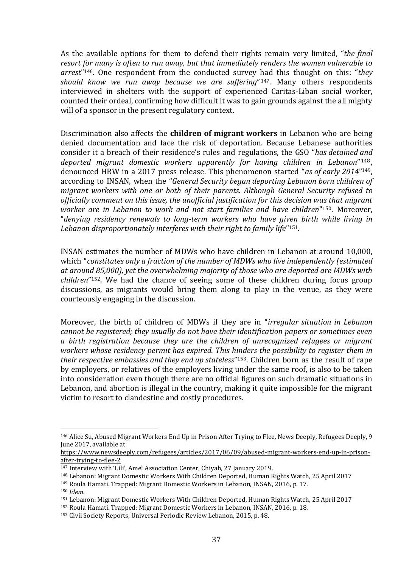As the available options for them to defend their rights remain very limited, "*the final resort for many is often to run away, but that immediately renders the women vulnerable to arrest*" <sup>146</sup>. One respondent from the conducted survey had this thought on this: "*they should know we run away because we are suffering*" <sup>147</sup>. Many others respondents interviewed in shelters with the support of experienced Caritas-Liban social worker, counted their ordeal, confirming how difficult it was to gain grounds against the all mighty will of a sponsor in the present regulatory context.

Discrimination also affects the **children of migrant workers** in Lebanon who are being denied documentation and face the risk of deportation. Because Lebanese authorities consider it a breach of their residence's rules and regulations, the GSO "*has detained and deported migrant domestic workers apparently for having children in Lebanon*" <sup>148</sup> , denounced HRW in a 2017 press release. This phenomenon started "*as of early 2014*" <sup>149</sup>, according to INSAN, when the "*General Security began deporting Lebanon born children of migrant workers with one or both of their parents. Although General Security refused to officially comment on this issue, the unofficial justification for this decision was that migrant worker are in Lebanon to work and not start families and have children*" <sup>150</sup>. Moreover, "*denying residency renewals to long-term workers who have given birth while living in Lebanon disproportionately interferes with their right to family life*" <sup>151</sup>.

INSAN estimates the number of MDWs who have children in Lebanon at around 10,000, which "*constitutes only a fraction of the number of MDWs who live independently (estimated at around 85,000), yet the overwhelming majority of those who are deported are MDWs with children*" <sup>152</sup>. We had the chance of seeing some of these children during focus group discussions, as migrants would bring them along to play in the venue, as they were courteously engaging in the discussion.

Moreover, the birth of children of MDWs if they are in "*irregular situation in Lebanon cannot be registered; they usually do not have their identification papers or sometimes even a birth registration because they are the children of unrecognized refugees or migrant workers whose residency permit has expired. This hinders the possibility to register them in their respective embassies and they end up stateless*" <sup>153</sup>. Children born as the result of rape by employers, or relatives of the employers living under the same roof, is also to be taken into consideration even though there are no official figures on such dramatic situations in Lebanon, and abortion is illegal in the country, making it quite impossible for the migrant victim to resort to clandestine and costly procedures.

<sup>146</sup> Alice Su, Abused Migrant Workers End Up in Prison After Trying to Flee, News Deeply, Refugees Deeply, 9 June 2017, available at

[https://www.newsdeeply.com/refugees/articles/2017/06/09/abused-migrant-workers-end-up-in-prison](https://www.newsdeeply.com/refugees/articles/2017/06/09/abused-migrant-workers-end-up-in-prison-after-trying-to-flee-2)[after-trying-to-flee-2](https://www.newsdeeply.com/refugees/articles/2017/06/09/abused-migrant-workers-end-up-in-prison-after-trying-to-flee-2)

<sup>147</sup> Interview with 'Lili', Amel Association Center, Chiyah, 27 January 2019.

<sup>148</sup> Lebanon: Migrant Domestic Workers With Children Deported, Human Rights Watch, 25 April 2017

<sup>149</sup> Roula Hamati. Trapped: Migrant Domestic Workers in Lebanon, INSAN, 2016, p. 17.

<sup>150</sup> *Idem*.

<sup>151</sup> Lebanon: Migrant Domestic Workers With Children Deported, Human Rights Watch, 25 April 2017

<sup>152</sup> Roula Hamati. Trapped: Migrant Domestic Workers in Lebanon, INSAN, 2016, p. 18.

<sup>153</sup> Civil Society Reports, Universal Periodic Review Lebanon, 2015, p. 48.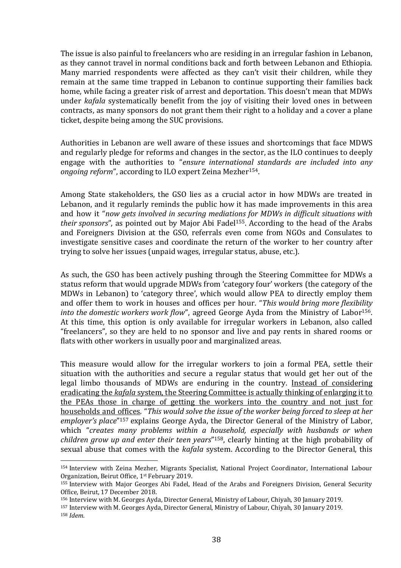The issue is also painful to freelancers who are residing in an irregular fashion in Lebanon, as they cannot travel in normal conditions back and forth between Lebanon and Ethiopia. Many married respondents were affected as they can't visit their children, while they remain at the same time trapped in Lebanon to continue supporting their families back home, while facing a greater risk of arrest and deportation. This doesn't mean that MDWs under *kafala* systematically benefit from the joy of visiting their loved ones in between contracts, as many sponsors do not grant them their right to a holiday and a cover a plane ticket, despite being among the SUC provisions.

Authorities in Lebanon are well aware of these issues and shortcomings that face MDWS and regularly pledge for reforms and changes in the sector, as the ILO continues to deeply engage with the authorities to "*ensure international standards are included into any ongoing reform*", according to ILO expert Zeina Mezher154.

Among State stakeholders, the GSO lies as a crucial actor in how MDWs are treated in Lebanon, and it regularly reminds the public how it has made improvements in this area and how it "*now gets involved in securing mediations for MDWs in difficult situations with their sponsors*", as pointed out by Major Abi Fadel155. According to the head of the Arabs and Foreigners Division at the GSO, referrals even come from NGOs and Consulates to investigate sensitive cases and coordinate the return of the worker to her country after trying to solve her issues (unpaid wages, irregular status, abuse, etc.).

As such, the GSO has been actively pushing through the Steering Committee for MDWs a status reform that would upgrade MDWs from 'category four' workers (the category of the MDWs in Lebanon) to 'category three', which would allow PEA to directly employ them and offer them to work in houses and offices per hour. "*This would bring more flexibility into the domestic workers work flow*", agreed George Ayda from the Ministry of Labor <sup>156</sup>. At this time, this option is only available for irregular workers in Lebanon, also called "freelancers", so they are held to no sponsor and live and pay rents in shared rooms or flats with other workers in usually poor and marginalized areas.

This measure would allow for the irregular workers to join a formal PEA, settle their situation with the authorities and secure a regular status that would get her out of the legal limbo thousands of MDWs are enduring in the country. Instead of considering eradicating the *kafala* system, the Steering Committee is actually thinking of enlarging it to the PEAs those in charge of getting the workers into the country and not just for households and offices. "*This would solve the issue of the worker being forced to sleep at her*  employer's place"<sup>157</sup> explains George Ayda, the Director General of the Ministry of Labor, which "*creates many problems within a household, especially with husbands or when children grow up and enter their teen years*" <sup>158</sup>, clearly hinting at the high probability of sexual abuse that comes with the *kafala* system. According to the Director General, this

<sup>154</sup> Interview with Zeina Mezher, Migrants Specialist, National Project Coordinator, International Labour Organization, Beirut Office, 1st February 2019.

<sup>155</sup> Interview with Major Georges Abi Fadel, Head of the Arabs and Foreigners Division, General Security Office, Beirut, 17 December 2018.

<sup>156</sup> Interview with M. Georges Ayda, Director General, Ministry of Labour, Chiyah, 30 January 2019.

<sup>157</sup> Interview with M. Georges Ayda, Director General, Ministry of Labour, Chiyah, 30 January 2019. <sup>158</sup> *Idem.*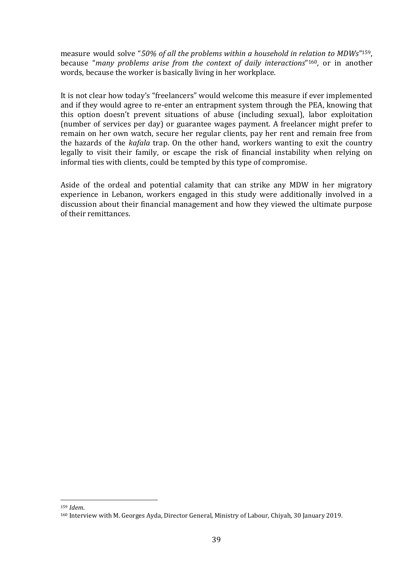measure would solve "*50% of all the problems within a household in relation to MDWs*" <sup>159</sup>, because "*many problems arise from the context of daily interactions*" <sup>160</sup>, or in another words, because the worker is basically living in her workplace.

It is not clear how today's "freelancers" would welcome this measure if ever implemented and if they would agree to re-enter an entrapment system through the PEA, knowing that this option doesn't prevent situations of abuse (including sexual), labor exploitation (number of services per day) or guarantee wages payment. A freelancer might prefer to remain on her own watch, secure her regular clients, pay her rent and remain free from the hazards of the *kafala* trap. On the other hand, workers wanting to exit the country legally to visit their family, or escape the risk of financial instability when relying on informal ties with clients, could be tempted by this type of compromise.

Aside of the ordeal and potential calamity that can strike any MDW in her migratory experience in Lebanon, workers engaged in this study were additionally involved in a discussion about their financial management and how they viewed the ultimate purpose of their remittances.

<sup>159</sup> *Idem*.

<sup>160</sup> Interview with M. Georges Ayda, Director General, Ministry of Labour, Chiyah, 30 January 2019.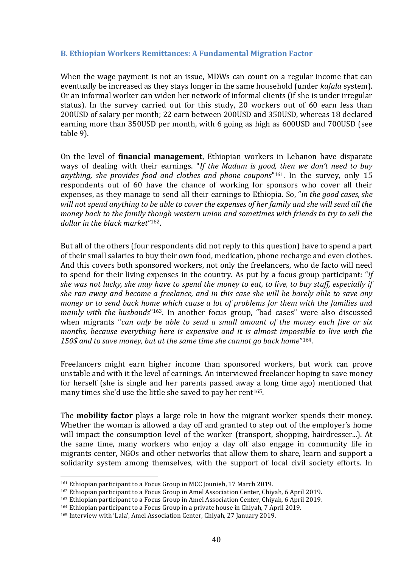#### **B. Ethiopian Workers Remittances: A Fundamental Migration Factor**

When the wage payment is not an issue, MDWs can count on a regular income that can eventually be increased as they stays longer in the same household (under *kafala* system). Or an informal worker can widen her network of informal clients (if she is under irregular status). In the survey carried out for this study, 20 workers out of 60 earn less than 200USD of salary per month; 22 earn between 200USD and 350USD, whereas 18 declared earning more than 350USD per month, with 6 going as high as 600USD and 700USD (see table 9).

On the level of **financial management**, Ethiopian workers in Lebanon have disparate ways of dealing with their earnings. "*If the Madam is good, then we don't need to buy anything, she provides food and clothes and phone coupons*" <sup>161</sup>. In the survey, only 15 respondents out of 60 have the chance of working for sponsors who cover all their expenses, as they manage to send all their earnings to Ethiopia. So, "*in the good cases, she will not spend anything to be able to cover the expenses of her family and she will send all the money back to the family though western union and sometimes with friends to try to sell the dollar in the black market*" <sup>162</sup>.

But all of the others (four respondents did not reply to this question) have to spend a part of their small salaries to buy their own food, medication, phone recharge and even clothes. And this covers both sponsored workers, not only the freelancers, who de facto will need to spend for their living expenses in the country. As put by a focus group participant: "*if she was not lucky, she may have to spend the money to eat, to live, to buy stuff, especially if she ran away and become a freelance, and in this case she will be barely able to save any money or to send back home which cause a lot of problems for them with the families and mainly with the husbands*" <sup>163</sup>. In another focus group, "bad cases" were also discussed when migrants "*can only be able to send a small amount of the money each five or six months, because everything here is expensive and it is almost impossible to live with the 150\$ and to save money, but at the same time she cannot go back home*" <sup>164</sup>.

Freelancers might earn higher income than sponsored workers, but work can prove unstable and with it the level of earnings. An interviewed freelancer hoping to save money for herself (she is single and her parents passed away a long time ago) mentioned that many times she'd use the little she saved to pay her rent<sup>165</sup>.

The **mobility factor** plays a large role in how the migrant worker spends their money. Whether the woman is allowed a day off and granted to step out of the employer's home will impact the consumption level of the worker (transport, shopping, hairdresser...). At the same time, many workers who enjoy a day off also engage in community life in migrants center, NGOs and other networks that allow them to share, learn and support a solidarity system among themselves, with the support of local civil society efforts. In

<sup>164</sup> Ethiopian participant to a Focus Group in a private house in Chiyah, 7 April 2019.

<sup>161</sup> Ethiopian participant to a Focus Group in MCC Jounieh, 17 March 2019.

<sup>162</sup> Ethiopian participant to a Focus Group in Amel Association Center, Chiyah, 6 April 2019.

<sup>163</sup> Ethiopian participant to a Focus Group in Amel Association Center, Chiyah, 6 April 2019.

<sup>165</sup> Interview with 'Lala', Amel Association Center, Chiyah, 27 January 2019.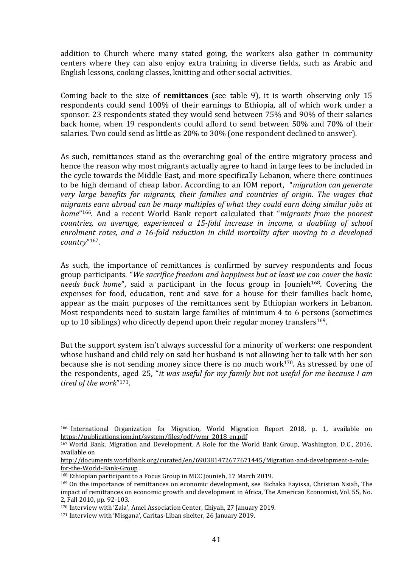addition to Church where many stated going, the workers also gather in community centers where they can also enjoy extra training in diverse fields, such as Arabic and English lessons, cooking classes, knitting and other social activities.

Coming back to the size of **remittances** (see table 9), it is worth observing only 15 respondents could send 100% of their earnings to Ethiopia, all of which work under a sponsor. 23 respondents stated they would send between 75% and 90% of their salaries back home, when 19 respondents could afford to send between 50% and 70% of their salaries. Two could send as little as 20% to 30% (one respondent declined to answer).

As such, remittances stand as the overarching goal of the entire migratory process and hence the reason why most migrants actually agree to hand in large fees to be included in the cycle towards the Middle East, and more specifically Lebanon, where there continues to be high demand of cheap labor. According to an IOM report, "*migration can generate very large benefits for migrants, their families and countries of origin. The wages that migrants earn abroad can be many multiples of what they could earn doing similar jobs at home*" <sup>166</sup>. And a recent World Bank report calculated that "*migrants from the poorest countries, on average, experienced a 15-fold increase in income, a doubling of school enrolment rates, and a 16-fold reduction in child mortality after moving to a developed country*" <sup>167</sup>.

As such, the importance of remittances is confirmed by survey respondents and focus group participants. "*We sacrifice freedom and happiness but at least we can cover the basic needs back home"*, said a participant in the focus group in Jounieh<sup>168</sup>. Covering the expenses for food, education, rent and save for a house for their families back home, appear as the main purposes of the remittances sent by Ethiopian workers in Lebanon. Most respondents need to sustain large families of minimum 4 to 6 persons (sometimes up to 10 siblings) who directly depend upon their regular money transfers<sup>169</sup>.

But the support system isn't always successful for a minority of workers: one respondent whose husband and child rely on said her husband is not allowing her to talk with her son because she is not sending money since there is no much work170. As stressed by one of the respondents, aged 25, "*it was useful for my family but not useful for me because I am tired of the work*" <sup>171</sup>.

<sup>166</sup> International Organization for Migration, World Migration Report 2018, p. 1, available on [https://publications.iom.int/system/files/pdf/wmr\\_2018\\_en.pdf](https://publications.iom.int/system/files/pdf/wmr_2018_en.pdf) 

<sup>167</sup> World Bank. Migration and Development. A Role for the World Bank Group, Washington, D.C., 2016, available on

[http://documents.worldbank.org/curated/en/690381472677671445/Migration-and-development-a-role](http://documents.worldbank.org/curated/en/690381472677671445/Migration-and-development-a-role-for-the-World-Bank-Group)[for-the-World-Bank-Group](http://documents.worldbank.org/curated/en/690381472677671445/Migration-and-development-a-role-for-the-World-Bank-Group) .

<sup>168</sup> Ethiopian participant to a Focus Group in MCC Jounieh, 17 March 2019.

<sup>169</sup> On the importance of remittances on economic development, see Bichaka Fayissa, Christian Nsiah, The impact of remittances on economic growth and development in Africa, The American Economist, Vol. 55, No. 2, Fall 2010, pp. 92-103.

<sup>170</sup> Interview with 'Zala', Amel Association Center, Chiyah, 27 January 2019.

<sup>171</sup> Interview with 'Misgana', Caritas-Liban shelter, 26 January 2019.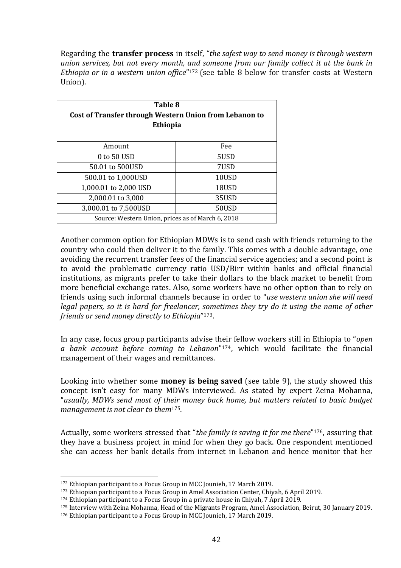Regarding the **transfer process** in itself, "*the safest way to send money is through western union services, but not every month, and someone from our family collect it at the bank in Ethiopia or in a western union office*" <sup>172</sup> (see table 8 below for transfer costs at Western Union).

| Table 8<br>Cost of Transfer through Western Union from Lebanon to<br><b>Ethiopia</b> |       |  |  |  |
|--------------------------------------------------------------------------------------|-------|--|--|--|
| Amount                                                                               | Fee   |  |  |  |
| 0 to 50 USD                                                                          | 5USD  |  |  |  |
| 50.01 to 500USD                                                                      | 7USD  |  |  |  |
| 500.01 to 1,000USD                                                                   | 10USD |  |  |  |
| 1,000.01 to 2,000 USD                                                                | 18USD |  |  |  |
| 2,000.01 to 3,000                                                                    | 35USD |  |  |  |
| 3,000.01 to 7,500USD                                                                 | 50USD |  |  |  |
| Source: Western Union, prices as of March 6, 2018                                    |       |  |  |  |

Another common option for Ethiopian MDWs is to send cash with friends returning to the country who could then deliver it to the family. This comes with a double advantage, one avoiding the recurrent transfer fees of the financial service agencies; and a second point is to avoid the problematic currency ratio USD/Birr within banks and official financial institutions, as migrants prefer to take their dollars to the black market to benefit from more beneficial exchange rates. Also, some workers have no other option than to rely on friends using such informal channels because in order to "*use western union she will need legal papers, so it is hard for freelancer, sometimes they try do it using the name of other friends or send money directly to Ethiopia*" <sup>173</sup>.

In any case, focus group participants advise their fellow workers still in Ethiopia to "*open a bank account before coming to Lebanon*" <sup>174</sup>, which would facilitate the financial management of their wages and remittances.

Looking into whether some **money is being saved** (see table 9), the study showed this concept isn't easy for many MDWs interviewed. As stated by expert Zeina Mohanna, "*usually, MDWs send most of their money back home, but matters related to basic budget management is not clear to them*175*.*

Actually, some workers stressed that "*the family is saving it for me there*" <sup>176</sup>, assuring that they have a business project in mind for when they go back. One respondent mentioned she can access her bank details from internet in Lebanon and hence monitor that her

<sup>172</sup> Ethiopian participant to a Focus Group in MCC Jounieh, 17 March 2019.

<sup>173</sup> Ethiopian participant to a Focus Group in Amel Association Center, Chiyah, 6 April 2019.

<sup>174</sup> Ethiopian participant to a Focus Group in a private house in Chiyah, 7 April 2019.

<sup>175</sup> Interview with Zeina Mohanna, Head of the Migrants Program, Amel Association, Beirut, 30 January 2019. <sup>176</sup> Ethiopian participant to a Focus Group in MCC Jounieh, 17 March 2019.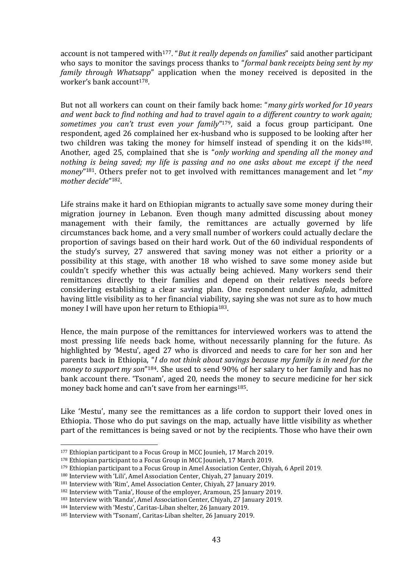account is not tampered with177. "*But it really depends on families*" said another participant who says to monitor the savings process thanks to "*formal bank receipts being sent by my family through Whatsapp*" application when the money received is deposited in the worker's bank account<sup>178</sup>.

But not all workers can count on their family back home: "*many girls worked for 10 years and went back to find nothing and had to travel again to a different country to work again; sometimes you can't trust even your family*" <sup>179</sup>, said a focus group participant. One respondent, aged 26 complained her ex-husband who is supposed to be looking after her two children was taking the money for himself instead of spending it on the kids<sup>180</sup>. Another, aged 25, complained that she is "*only working and spending all the money and nothing is being saved; my life is passing and no one asks about me except if the need money*" <sup>181</sup>. Others prefer not to get involved with remittances management and let "*my mother decide*" <sup>182</sup>.

Life strains make it hard on Ethiopian migrants to actually save some money during their migration journey in Lebanon. Even though many admitted discussing about money management with their family, the remittances are actually governed by life circumstances back home, and a very small number of workers could actually declare the proportion of savings based on their hard work. Out of the 60 individual respondents of the study's survey, 27 answered that saving money was not either a priority or a possibility at this stage, with another 18 who wished to save some money aside but couldn't specify whether this was actually being achieved. Many workers send their remittances directly to their families and depend on their relatives needs before considering establishing a clear saving plan. One respondent under *kafala*, admitted having little visibility as to her financial viability, saying she was not sure as to how much money I will have upon her return to Ethiopia183.

Hence, the main purpose of the remittances for interviewed workers was to attend the most pressing life needs back home, without necessarily planning for the future. As highlighted by 'Mestu', aged 27 who is divorced and needs to care for her son and her parents back in Ethiopia, "*I do not think about savings because my family is in need for the money to support my son*" <sup>184</sup>. She used to send 90% of her salary to her family and has no bank account there. 'Tsonam', aged 20, needs the money to secure medicine for her sick money back home and can't save from her earnings<sup>185</sup>.

Like 'Mestu', many see the remittances as a life cordon to support their loved ones in Ethiopia. Those who do put savings on the map, actually have little visibility as whether part of the remittances is being saved or not by the recipients. Those who have their own

<sup>180</sup> Interview with 'Lili', Amel Association Center, Chiyah, 27 January 2019.

<sup>177</sup> Ethiopian participant to a Focus Group in MCC Jounieh, 17 March 2019.

<sup>178</sup> Ethiopian participant to a Focus Group in MCC Jounieh, 17 March 2019.

<sup>179</sup> Ethiopian participant to a Focus Group in Amel Association Center, Chiyah, 6 April 2019.

<sup>181</sup> Interview with 'Rim', Amel Association Center, Chiyah, 27 January 2019.

<sup>182</sup> Interview with 'Tania', House of the employer, Aramoun, 25 January 2019.

<sup>183</sup> Interview with 'Randa', Amel Association Center, Chiyah, 27 January 2019.

<sup>184</sup> Interview with 'Mestu', Caritas-Liban shelter, 26 January 2019.

<sup>185</sup> Interview with 'Tsonam', Caritas-Liban shelter, 26 January 2019.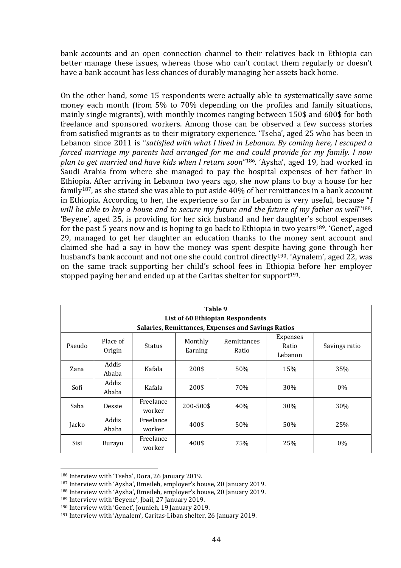bank accounts and an open connection channel to their relatives back in Ethiopia can better manage these issues, whereas those who can't contact them regularly or doesn't have a bank account has less chances of durably managing her assets back home.

On the other hand, some 15 respondents were actually able to systematically save some money each month (from 5% to 70% depending on the profiles and family situations, mainly single migrants), with monthly incomes ranging between 150\$ and 600\$ for both freelance and sponsored workers. Among those can be observed a few success stories from satisfied migrants as to their migratory experience. 'Tseha', aged 25 who has been in Lebanon since 2011 is "*satisfied with what I lived in Lebanon. By coming here, I escaped a forced marriage my parents had arranged for me and could provide for my family. I now plan to get married and have kids when I return soon*" <sup>186</sup>. 'Aysha', aged 19, had worked in Saudi Arabia from where she managed to pay the hospital expenses of her father in Ethiopia. After arriving in Lebanon two years ago, she now plans to buy a house for her family<sup>187</sup>, as she stated she was able to put aside  $40\%$  of her remittances in a bank account in Ethiopia. According to her, the experience so far in Lebanon is very useful, because "*I*  will be able to buy a house and to secure my future and the future of my father as well"<sup>188</sup>. 'Beyene', aged 25, is providing for her sick husband and her daughter's school expenses for the past 5 years now and is hoping to go back to Ethiopia in two years<sup>189</sup>. 'Genet', aged 29, managed to get her daughter an education thanks to the money sent account and claimed she had a say in how the money was spent despite having gone through her husband's bank account and not one she could control directly<sup>190</sup>. 'Aynalem', aged 22, was on the same track supporting her child's school fees in Ethiopia before her employer stopped paying her and ended up at the Caritas shelter for support<sup>191</sup>.

| Table 9                                 |                    |                     |                    |                                                    |                              |               |
|-----------------------------------------|--------------------|---------------------|--------------------|----------------------------------------------------|------------------------------|---------------|
| <b>List of 60 Ethiopian Respondents</b> |                    |                     |                    |                                                    |                              |               |
|                                         |                    |                     |                    | Salaries, Remittances, Expenses and Savings Ratios |                              |               |
| Pseudo                                  | Place of<br>Origin | Status              | Monthly<br>Earning | Remittances<br>Ratio                               | Expenses<br>Ratio<br>Lebanon | Savings ratio |
| Zana                                    | Addis<br>Ababa     | Kafala              | 200\$              | 50%                                                | 15%                          | 35%           |
| Sofi                                    | Addis<br>Ababa     | Kafala              | 200\$              | 70%                                                | 30%                          | $0\%$         |
| Saba                                    | Dessie             | Freelance<br>worker | 200-500\$          | 40%                                                | 30%                          | 30%           |
| Jacko                                   | Addis<br>Ababa     | Freelance<br>worker | 400\$              | 50%                                                | 50%                          | 25%           |
| Sisi                                    | Burayu             | Freelance<br>worker | 400\$              | 75%                                                | 25%                          | $0\%$         |

<sup>186</sup> Interview with 'Tseha', Dora, 26 January 2019.

<sup>187</sup> Interview with 'Aysha', Rmeileh, employer's house, 20 January 2019.

<sup>188</sup> Interview with 'Aysha', Rmeileh, employer's house, 20 January 2019.

<sup>189</sup> Interview with 'Beyene', Jbail, 27 January 2019.

<sup>190</sup> Interview with 'Genet', Jounieh, 19 January 2019.

<sup>191</sup> Interview with 'Aynalem', Caritas-Liban shelter, 26 January 2019.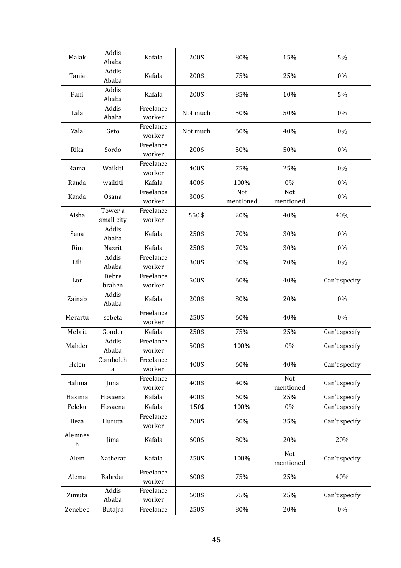| Malak                       | Addis<br>Ababa        | Kafala              | 200\$    | 80%              | 15%              | 5%            |
|-----------------------------|-----------------------|---------------------|----------|------------------|------------------|---------------|
| Tania                       | Addis<br>Ababa        | Kafala              | 200\$    | 75%              | 25%              | 0%            |
| Fani                        | Addis<br>Ababa        | Kafala              | 200\$    | 85%              | 10%              | 5%            |
| Lala                        | Addis<br>Ababa        | Freelance<br>worker | Not much | 50%              | 50%              | 0%            |
| Zala                        | Geto                  | Freelance<br>worker | Not much | 60%              | 40%              | 0%            |
| Rika                        | Sordo                 | Freelance<br>worker | 200\$    | 50%              | 50%              | 0%            |
| Rama                        | Waikiti               | Freelance<br>worker | 400\$    | 75%              | 25%              | 0%            |
| Randa                       | waikiti               | Kafala              | 400\$    | 100%             | 0%               | 0%            |
| Kanda                       | Osana                 | Freelance<br>worker | 300\$    | Not<br>mentioned | Not<br>mentioned | 0%            |
| Aisha                       | Tower a<br>small city | Freelance<br>worker | 550\$    | 20%              | 40%              | 40%           |
| Sana                        | Addis<br>Ababa        | Kafala              | 250\$    | 70%              | 30%              | 0%            |
| Rim                         | Nazrit                | Kafala              | 250\$    | 70%              | 30%              | 0%            |
| Lili                        | Addis<br>Ababa        | Freelance<br>worker | 300\$    | 30%              | 70%              | 0%            |
| Lor                         | Debre<br>brahen       | Freelance<br>worker | 500\$    | 60%              | 40%              | Can't specify |
| Zainab                      | Addis<br>Ababa        | Kafala              | 200\$    | 80%              | 20%              | 0%            |
| Merartu                     | sebeta                | Freelance<br>worker | 250\$    | 60%              | 40%              | 0%            |
| Mebrit                      | Gonder                | Kafala              | 250\$    | 75%              | 25%              | Can't specify |
| Mahder                      | Addis<br>Ababa        | Freelance<br>worker | 500\$    | 100%             | $0\%$            | Can't specify |
| Helen                       | Combolch<br>a         | Freelance<br>worker | 400\$    | 60%              | 40%              | Can't specify |
| Halima                      | Jima                  | Freelance<br>worker | 400\$    | 40%              | Not<br>mentioned | Can't specify |
| Hasima                      | Hosaena               | Kafala              | 400\$    | 60%              | 25%              | Can't specify |
| Feleku                      | Hosaena               | Kafala              | 150\$    | 100%             | 0%               | Can't specify |
| Beza                        | Huruta                | Freelance<br>worker | 700\$    | 60%              | 35%              | Can't specify |
| Alemnes<br>$\boldsymbol{h}$ | Jima                  | Kafala              | 600\$    | 80%              | 20%              | 20%           |
| Alem                        | Natherat              | Kafala              | 250\$    | 100%             | Not<br>mentioned | Can't specify |
| Alema                       | Bahrdar               | Freelance<br>worker | 600\$    | 75%              | 25%              | 40%           |
| Zimuta                      | Addis<br>Ababa        | Freelance<br>worker | 600\$    | 75%              | 25%              | Can't specify |
| Zenebec                     | <b>Butajra</b>        | Freelance           | 250\$    | 80%              | 20%              | $0\%$         |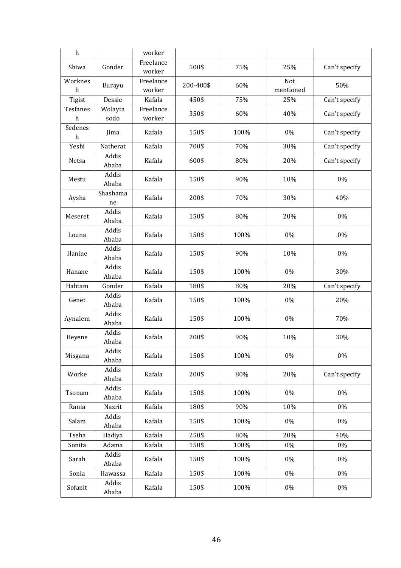| $\mathbf h$            |                       | worker              |           |      |                  |               |
|------------------------|-----------------------|---------------------|-----------|------|------------------|---------------|
| Shiwa                  | Gonder                | Freelance           | 500\$     | 75%  | 25%              | Can't specify |
|                        |                       | worker              |           |      |                  |               |
| Worknes<br>$\mathbf h$ | Burayu                | Freelance<br>worker | 200-400\$ | 60%  | Not<br>mentioned | 50%           |
| Tigist                 | Dessie                | Kafala              | 450\$     | 75%  | 25%              | Can't specify |
| Tesfanes               | Wolayta               | Freelance           |           |      |                  |               |
| $\mathbf h$            | sodo                  | worker              | 350\$     | 60%  | 40%              | Can't specify |
| Sedenes<br>h           | Jima                  | Kafala              | 150\$     | 100% | 0%               | Can't specify |
| Yeshi                  | Natherat              | Kafala              | 700\$     | 70%  | 30%              | Can't specify |
| Netsa                  | <b>Addis</b><br>Ababa | Kafala              | 600\$     | 80%  | 20%              | Can't specify |
| Mestu                  | Addis<br>Ababa        | Kafala              | 150\$     | 90%  | 10%              | 0%            |
| Aysha                  | Shashama<br>ne        | Kafala              | 200\$     | 70%  | 30%              | 40%           |
| Meseret                | Addis<br>Ababa        | Kafala              | 150\$     | 80%  | 20%              | 0%            |
| Louna                  | Addis<br>Ababa        | Kafala              | 150\$     | 100% | 0%               | 0%            |
| Hanine                 | Addis<br>Ababa        | Kafala              | 150\$     | 90%  | 10%              | 0%            |
| Hanane                 | Addis<br>Ababa        | Kafala              | 150\$     | 100% | 0%               | 30%           |
| Habtam                 | Gonder                | Kafala              | 180\$     | 80%  | 20%              | Can't specify |
| Genet                  | Addis<br>Ababa        | Kafala              | 150\$     | 100% | 0%               | 20%           |
| Aynalem                | Addis<br>Ababa        | Kafala              | 150\$     | 100% | 0%               | 70%           |
| Beyene                 | Addis<br>Ababa        | Kafala              | 200\$     | 90%  | 10%              | 30%           |
| Misgana                | Addis<br>Ababa        | Kafala              | 150\$     | 100% | $0\%$            | 0%            |
| Worke                  | Addis<br>Ababa        | Kafala              | 200\$     | 80%  | 20%              | Can't specify |
| Tsonam                 | Addis<br>Ababa        | Kafala              | 150\$     | 100% | $0\%$            | $0\%$         |
| Rania                  | Nazrit                | Kafala              | 180\$     | 90%  | 10%              | 0%            |
| Salam                  | Addis<br>Ababa        | Kafala              | 150\$     | 100% | $0\%$            | $0\%$         |
| Tseha                  | Hadiya                | Kafala              | 250\$     | 80%  | 20%              | 40%           |
| Sonita                 | Adama                 | Kafala              | 150\$     | 100% | $0\%$            | $0\%$         |
| Sarah                  | Addis<br>Ababa        | Kafala              | 150\$     | 100% | $0\%$            | $0\%$         |
| Sonia                  | Hawassa               | Kafala              | 150\$     | 100% | $0\%$            | 0%            |
| Sofanit                | Addis<br>Ababa        | Kafala              | 150\$     | 100% | $0\%$            | $0\%$         |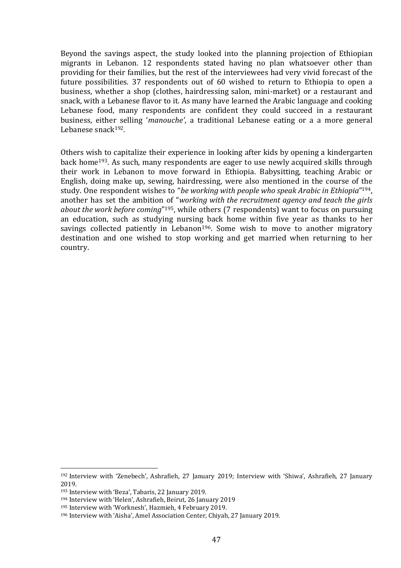Beyond the savings aspect, the study looked into the planning projection of Ethiopian migrants in Lebanon. 12 respondents stated having no plan whatsoever other than providing for their families, but the rest of the interviewees had very vivid forecast of the future possibilities. 37 respondents out of 60 wished to return to Ethiopia to open a business, whether a shop (clothes, hairdressing salon, mini-market) or a restaurant and snack, with a Lebanese flavor to it. As many have learned the Arabic language and cooking Lebanese food, many respondents are confident they could succeed in a restaurant business, either selling '*manouche'*, a traditional Lebanese eating or a a more general Lebanese snack<sup>192</sup>.

Others wish to capitalize their experience in looking after kids by opening a kindergarten back home193. As such, many respondents are eager to use newly acquired skills through their work in Lebanon to move forward in Ethiopia. Babysitting, teaching Arabic or English, doing make up, sewing, hairdressing, were also mentioned in the course of the study. One respondent wishes to "*be working with people who speak Arabic in Ethiopia*" <sup>194</sup>, another has set the ambition of "*working with the recruitment agency and teach the girls about the work before coming*" <sup>195</sup>, while others (7 respondents) want to focus on pursuing an education, such as studying nursing back home within five year as thanks to her savings collected patiently in Lebanon<sup>196</sup>. Some wish to move to another migratory destination and one wished to stop working and get married when returning to her country.

<sup>192</sup> Interview with 'Zenebech', Ashrafieh, 27 January 2019; Interview with 'Shiwa', Ashrafieh, 27 January 2019.

<sup>193</sup> Interview with 'Beza', Tabaris, 22 January 2019.

<sup>194</sup> Interview with 'Helen', Ashrafieh, Beirut, 26 January 2019

<sup>195</sup> Interview with 'Worknesh', Hazmieh, 4 February 2019.

<sup>196</sup> Interview with 'Aisha', Amel Association Center, Chiyah, 27 January 2019.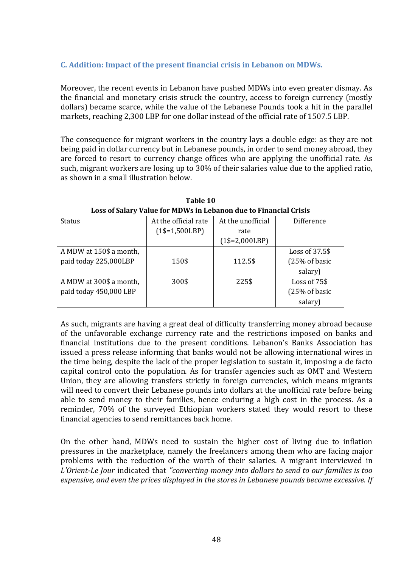## **C. Addition: Impact of the present financial crisis in Lebanon on MDWs.**

Moreover, the recent events in Lebanon have pushed MDWs into even greater dismay. As the financial and monetary crisis struck the country, access to foreign currency (mostly dollars) became scarce, while the value of the Lebanese Pounds took a hit in the parallel markets, reaching 2,300 LBP for one dollar instead of the official rate of 1507.5 LBP.

The consequence for migrant workers in the country lays a double edge: as they are not being paid in dollar currency but in Lebanese pounds, in order to send money abroad, they are forced to resort to currency change offices who are applying the unofficial rate. As such, migrant workers are losing up to 30% of their salaries value due to the applied ratio, as shown in a small illustration below.

| Table 10                                                         |                      |                   |                           |  |  |
|------------------------------------------------------------------|----------------------|-------------------|---------------------------|--|--|
| Loss of Salary Value for MDWs in Lebanon due to Financial Crisis |                      |                   |                           |  |  |
| <b>Status</b>                                                    | At the official rate | At the unofficial | Difference                |  |  |
|                                                                  | $(1$=1,500LBP)$      | rate              |                           |  |  |
|                                                                  |                      | $(1$=2,000LBP)$   |                           |  |  |
| A MDW at 150\$ a month,                                          |                      |                   | Loss of 37.5\$            |  |  |
| paid today 225,000LBP                                            | 150\$                | 112.5\$           | (25% of basic)            |  |  |
|                                                                  |                      |                   | salary)                   |  |  |
| A MDW at 300\$ a month,                                          | 300\$                | 225\$             | Loss of 75\$              |  |  |
| paid today 450,000 LBP                                           |                      |                   | $(25\% \text{ of basic})$ |  |  |
|                                                                  |                      |                   | salary)                   |  |  |

As such, migrants are having a great deal of difficulty transferring money abroad because of the unfavorable exchange currency rate and the restrictions imposed on banks and financial institutions due to the present conditions. Lebanon's Banks Association has issued a press release informing that banks would not be allowing international wires in the time being, despite the lack of the proper legislation to sustain it, imposing a de facto capital control onto the population. As for transfer agencies such as OMT and Western Union, they are allowing transfers strictly in foreign currencies, which means migrants will need to convert their Lebanese pounds into dollars at the unofficial rate before being able to send money to their families, hence enduring a high cost in the process. As a reminder, 70% of the surveyed Ethiopian workers stated they would resort to these financial agencies to send remittances back home.

On the other hand, MDWs need to sustain the higher cost of living due to inflation pressures in the marketplace, namely the freelancers among them who are facing major problems with the reduction of the worth of their salaries. A migrant interviewed in *L'Orient-Le Jour* indicated that *"converting money into dollars to send to our families is too expensive, and even the prices displayed in the stores in Lebanese pounds become excessive. If*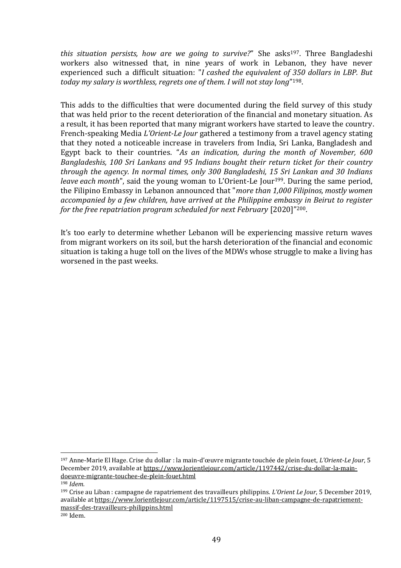*this situation persists, how are we going to survive?*" She asks<sup>197</sup>. Three Bangladeshi workers also witnessed that, in nine years of work in Lebanon, they have never experienced such a difficult situation: "*I cashed the equivalent of 350 dollars in LBP. But today my salary is worthless, regrets one of them. I will not stay long*" <sup>198</sup>.

This adds to the difficulties that were documented during the field survey of this study that was held prior to the recent deterioration of the financial and monetary situation. As a result, it has been reported that many migrant workers have started to leave the country. French-speaking Media *L'Orient-Le Jour* gathered a testimony from a travel agency stating that they noted a noticeable increase in travelers from India, Sri Lanka, Bangladesh and Egypt back to their countries. "*As an indication, during the month of November, 600 Bangladeshis, 100 Sri Lankans and 95 Indians bought their return ticket for their country through the agency. In normal times, only 300 Bangladeshi, 15 Sri Lankan and 30 Indians leave each month*", said the young woman to L'Orient-Le Jour<sup>199</sup>. During the same period, the Filipino Embassy in Lebanon announced that "*more than 1,000 Filipinos, mostly women accompanied by a few children, have arrived at the Philippine embassy in Beirut to register for the free repatriation program scheduled for next February* [2020]" <sup>200</sup>.

It's too early to determine whether Lebanon will be experiencing massive return waves from migrant workers on its soil, but the harsh deterioration of the financial and economic situation is taking a huge toll on the lives of the MDWs whose struggle to make a living has worsened in the past weeks.

<sup>197</sup> Anne-Marie El Hage. Crise du dollar : la main-d'œuvre migrante touchée de plein fouet, *L'Orient-Le Jour*, 5 December 2019, available at [https://www.lorientlejour.com/article/1197442/crise-du-dollar-la-main](https://www.lorientlejour.com/article/1197442/crise-du-dollar-la-main-doeuvre-migrante-touchee-de-plein-fouet.html)[doeuvre-migrante-touchee-de-plein-fouet.html](https://www.lorientlejour.com/article/1197442/crise-du-dollar-la-main-doeuvre-migrante-touchee-de-plein-fouet.html)

<sup>198</sup> *Idem.*

<sup>199</sup> Crise au Liban : campagne de rapatriement des travailleurs philippins. *L'Orient Le Jour*, 5 December 2019, available at [https://www.lorientlejour.com/article/1197515/crise-au-liban-campagne-de-rapatriement](https://www.lorientlejour.com/article/1197515/crise-au-liban-campagne-de-rapatriement-massif-des-travailleurs-philippins.html)[massif-des-travailleurs-philippins.html](https://www.lorientlejour.com/article/1197515/crise-au-liban-campagne-de-rapatriement-massif-des-travailleurs-philippins.html) <sup>200</sup> Idem.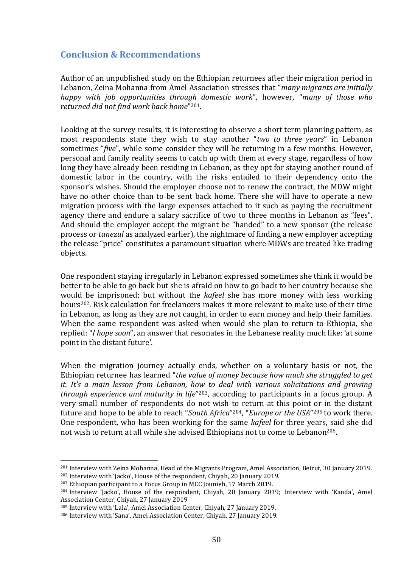## **Conclusion & Recommendations**

Author of an unpublished study on the Ethiopian returnees after their migration period in Lebanon, Zeina Mohanna from Amel Association stresses that "*many migrants are initially happy with job opportunities through domestic work*", however, "*many of those who returned did not find work back home*" <sup>201</sup>.

Looking at the survey results, it is interesting to observe a short term planning pattern, as most respondents state they wish to stay another "*two to three years*" in Lebanon sometimes "*five*", while some consider they will be returning in a few months. However, personal and family reality seems to catch up with them at every stage, regardless of how long they have already been residing in Lebanon, as they opt for staying another round of domestic labor in the country, with the risks entailed to their dependency onto the sponsor's wishes. Should the employer choose not to renew the contract, the MDW might have no other choice than to be sent back home. There she will have to operate a new migration process with the large expenses attached to it such as paying the recruitment agency there and endure a salary sacrifice of two to three months in Lebanon as "fees". And should the employer accept the migrant be "handed" to a new sponsor (the release process or *tanezul* as analyzed earlier), the nightmare of finding a new employer accepting the release "price" constitutes a paramount situation where MDWs are treated like trading objects.

One respondent staying irregularly in Lebanon expressed sometimes she think it would be better to be able to go back but she is afraid on how to go back to her country because she would be imprisoned; but without the *kafeel* she has more money with less working hours<sup>202</sup>. Risk calculation for freelancers makes it more relevant to make use of their time in Lebanon, as long as they are not caught, in order to earn money and help their families. When the same respondent was asked when would she plan to return to Ethiopia, she replied: "*I hope soon*", an answer that resonates in the Lebanese reality much like: 'at some point in the distant future'.

When the migration journey actually ends, whether on a voluntary basis or not, the Ethiopian returnee has learned "*the value of money because how much she struggled to get it. It's a main lesson from Lebanon, how to deal with various solicitations and growing through experience and maturity in life*" <sup>203</sup>, according to participants in a focus group. A very small number of respondents do not wish to return at this point or in the distant future and hope to be able to reach "South Africa"<sup>204</sup>, "Europe or the USA"<sup>205</sup> to work there. One respondent, who has been working for the same *kafeel* for three years, said she did not wish to return at all while she advised Ethiopians not to come to Lebanon<sup>206</sup>.

<sup>201</sup> Interview with Zeina Mohanna, Head of the Migrants Program, Amel Association, Beirut, 30 January 2019. <sup>202</sup> Interview with 'Jacko', House of the respondent, Chiyah, 20 January 2019.

<sup>203</sup> Ethiopian participant to a Focus Group in MCC Jounieh, 17 March 2019.

<sup>204</sup> Interview 'Jacko', House of the respondent, Chiyah, 20 January 2019; Interview with 'Kanda', Amel Association Center, Chiyah, 27 January 2019

<sup>205</sup> Interview with 'Lala', Amel Association Center, Chiyah, 27 January 2019.

<sup>206</sup> Interview with 'Sana', Amel Association Center, Chiyah, 27 January 2019.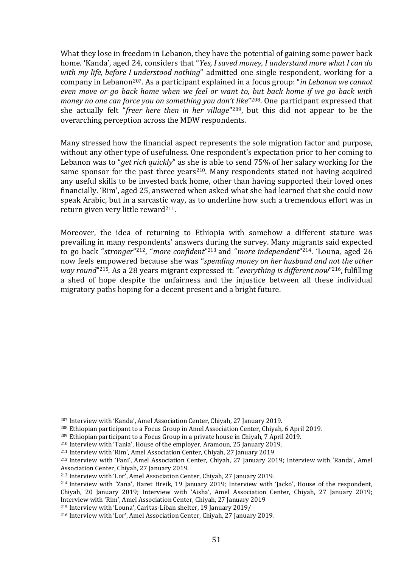What they lose in freedom in Lebanon, they have the potential of gaining some power back home. 'Kanda', aged 24, considers that "*Yes, I saved money, I understand more what I can do with my life, before I understood nothing*" admitted one single respondent, working for a company in Lebanon207. As a participant explained in a focus group: "*in Lebanon we cannot even move or go back home when we feel or want to, but back home if we go back with money no one can force you on something you don't like*" <sup>208</sup>. One participant expressed that she actually felt "*freer here then in her village*" <sup>209</sup>, but this did not appear to be the overarching perception across the MDW respondents.

Many stressed how the financial aspect represents the sole migration factor and purpose, without any other type of usefulness. One respondent's expectation prior to her coming to Lebanon was to "*get rich quickly*" as she is able to send 75% of her salary working for the same sponsor for the past three years<sup>210</sup>. Many respondents stated not having acquired any useful skills to be invested back home, other than having supported their loved ones financially. 'Rim', aged 25, answered when asked what she had learned that she could now speak Arabic, but in a sarcastic way, as to underline how such a tremendous effort was in return given very little reward<sup>211</sup>.

Moreover, the idea of returning to Ethiopia with somehow a different stature was prevailing in many respondents' answers during the survey. Many migrants said expected to go back "*stronger*" <sup>212</sup>, "*more confident*" <sup>213</sup> and "*more independent*" <sup>214</sup>. 'Louna, aged 26 now feels empowered because she was "*spending money on her husband and not the other way round*" <sup>215</sup>. As a 28 years migrant expressed it: "*everything is different now*" <sup>216</sup>, fulfilling a shed of hope despite the unfairness and the injustice between all these individual migratory paths hoping for a decent present and a bright future.

<sup>207</sup> Interview with 'Kanda', Amel Association Center, Chiyah, 27 January 2019.

<sup>208</sup> Ethiopian participant to a Focus Group in Amel Association Center, Chiyah, 6 April 2019.

<sup>209</sup> Ethiopian participant to a Focus Group in a private house in Chiyah, 7 April 2019.

<sup>210</sup> Interview with 'Tania', House of the employer, Aramoun, 25 January 2019.

<sup>211</sup> Interview with 'Rim', Amel Association Center, Chiyah, 27 January 2019

<sup>212</sup> Interview with 'Fani', Amel Association Center, Chiyah, 27 January 2019; Interview with 'Randa', Amel Association Center, Chiyah, 27 January 2019.

<sup>213</sup> Interview with 'Lor', Amel Association Center, Chiyah, 27 January 2019.

<sup>214</sup> Interview with 'Zana', Haret Hreik, 19 January 2019; Interview with 'Jacko', House of the respondent, Chiyah, 20 January 2019; Interview with 'Aisha', Amel Association Center, Chiyah, 27 January 2019; Interview with 'Rim', Amel Association Center, Chiyah, 27 January 2019

<sup>215</sup> Interview with 'Louna', Caritas-Liban shelter, 19 January 2019/

<sup>216</sup> Interview with 'Lor', Amel Association Center, Chiyah, 27 January 2019.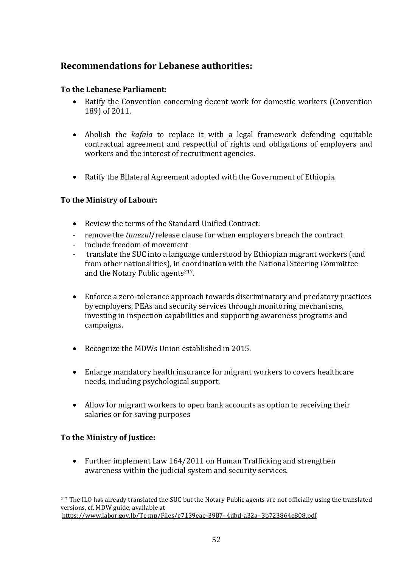## **Recommendations for Lebanese authorities:**

### **To the Lebanese Parliament:**

- Ratify the Convention concerning decent work for domestic workers (Convention 189) of 2011.
- Abolish the *kafala* to replace it with a legal framework defending equitable contractual agreement and respectful of rights and obligations of employers and workers and the interest of recruitment agencies.
- Ratify the Bilateral Agreement adopted with the Government of Ethiopia.

#### **To the Ministry of Labour:**

- Review the terms of the Standard Unified Contract:
- remove the *tanezul*/release clause for when employers breach the contract
- include freedom of movement
- translate the SUC into a language understood by Ethiopian migrant workers (and from other nationalities), in coordination with the National Steering Committee and the Notary Public agents<sup>217</sup>.
- Enforce a zero-tolerance approach towards discriminatory and predatory practices by employers, PEAs and security services through monitoring mechanisms, investing in inspection capabilities and supporting awareness programs and campaigns.
- Recognize the MDWs Union established in 2015.
- Enlarge mandatory health insurance for migrant workers to covers healthcare needs, including psychological support.
- Allow for migrant workers to open bank accounts as option to receiving their salaries or for saving purposes

## **To the Ministry of Justice:**

• Further implement Law 164/2011 on Human Trafficking and strengthen awareness within the judicial system and security services.

<sup>217</sup> The ILO has already translated the SUC but the Notary Public agents are not officially using the translated versions, cf. MDW guide, available at [https://www.labor.gov.lb/Te mp/Files/e7139eae-3987-](https://www.labor.gov.lb/Te%20mp/Files/e7139eae-3987-%204dbd-a32a-%203b723864e808.pdf) 4dbd-a32a- 3b723864e808.pdf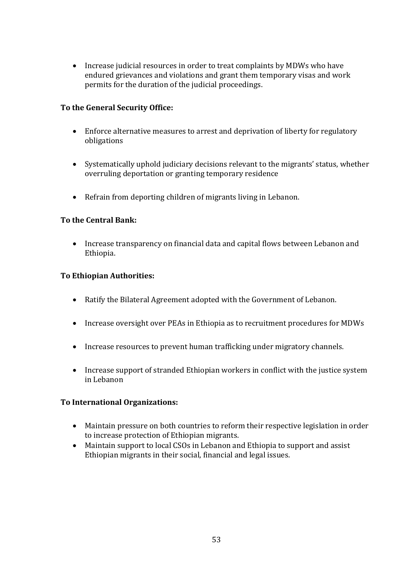• Increase judicial resources in order to treat complaints by MDWs who have endured grievances and violations and grant them temporary visas and work permits for the duration of the judicial proceedings.

#### **To the General Security Office:**

- Enforce alternative measures to arrest and deprivation of liberty for regulatory obligations
- Systematically uphold judiciary decisions relevant to the migrants' status, whether overruling deportation or granting temporary residence
- Refrain from deporting children of migrants living in Lebanon.

#### **To the Central Bank:**

• Increase transparency on financial data and capital flows between Lebanon and Ethiopia.

#### **To Ethiopian Authorities:**

- Ratify the Bilateral Agreement adopted with the Government of Lebanon.
- Increase oversight over PEAs in Ethiopia as to recruitment procedures for MDWs
- Increase resources to prevent human trafficking under migratory channels.
- Increase support of stranded Ethiopian workers in conflict with the justice system in Lebanon

#### **To International Organizations:**

- Maintain pressure on both countries to reform their respective legislation in order to increase protection of Ethiopian migrants.
- Maintain support to local CSOs in Lebanon and Ethiopia to support and assist Ethiopian migrants in their social, financial and legal issues.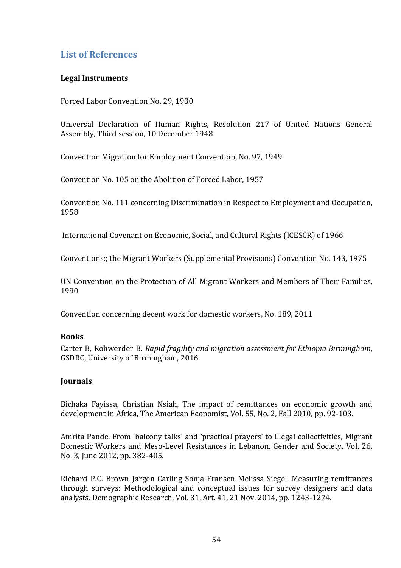## **List of References**

## **Legal Instruments**

Forced Labor Convention No. 29, 1930

Universal Declaration of Human Rights, Resolution 217 of United Nations General Assembly, Third session, 10 December 1948

Convention Migration for Employment Convention, No. 97, 1949

Convention No. 105 on the Abolition of Forced Labor, 1957

Convention No. 111 concerning Discrimination in Respect to Employment and Occupation, 1958

International Covenant on Economic, Social, and Cultural Rights (ICESCR) of 1966

Conventions:; the Migrant Workers (Supplemental Provisions) Convention No. 143, 1975

UN Convention on the Protection of All Migrant Workers and Members of Their Families, 1990

Convention concerning decent work for domestic workers, No. 189, 2011

#### **Books**

Carter B, Rohwerder B. *Rapid fragility and migration assessment for Ethiopia Birmingham*, GSDRC, University of Birmingham, 2016.

#### **Journals**

Bichaka Fayissa, Christian Nsiah, The impact of remittances on economic growth and development in Africa, The American Economist, Vol. 55, No. 2, Fall 2010, pp. 92-103.

Amrita Pande. From 'balcony talks' and 'practical prayers' to illegal collectivities, Migrant Domestic Workers and Meso-Level Resistances in Lebanon. Gender and Society, Vol. 26, No. 3, June 2012, pp. 382-405.

Richard P.C. Brown Jørgen Carling Sonja Fransen Melissa Siegel. Measuring remittances through surveys: Methodological and conceptual issues for survey designers and data analysts. Demographic Research, Vol. 31, Art. 41, 21 Nov. 2014, pp. 1243-1274.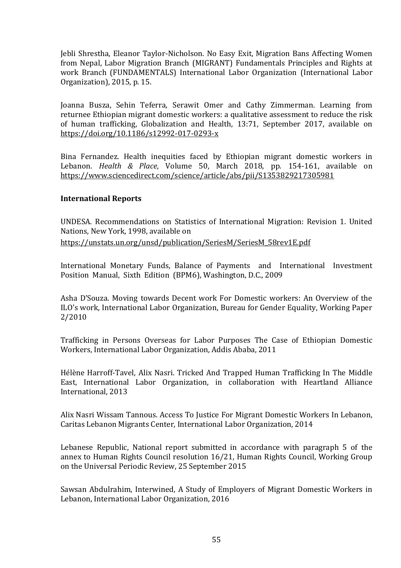Jebli Shrestha, Eleanor Taylor-Nicholson. No Easy Exit, Migration Bans Affecting Women from Nepal, Labor Migration Branch (MIGRANT) Fundamentals Principles and Rights at work Branch (FUNDAMENTALS) International Labor Organization (International Labor Organization), 2015, p. 15.

Joanna Busza, Sehin Teferra, Serawit Omer and Cathy Zimmerman. Learning from returnee Ethiopian migrant domestic workers: a qualitative assessment to reduce the risk of human trafficking, Globalization and Health, 13:71, September 2017, available on <https://doi.org/10.1186/s12992-017-0293-x>

Bina Fernandez. Health inequities faced by Ethiopian migrant domestic workers in Lebanon. *Health & Place*, Volume 50, March 2018, pp. 154-161, available on <https://www.sciencedirect.com/science/article/abs/pii/S1353829217305981>

#### **International Reports**

UNDESA. Recommendations on Statistics of International Migration: Revision 1. United Nations, New York, 1998, available on

[https://unstats.un.org/unsd/publication/SeriesM/SeriesM\\_58rev1E.pdf](https://unstats.un.org/unsd/publication/SeriesM/SeriesM_58rev1E.pdf)

International Monetary Funds, Balance of Payments and International Investment Position Manual, Sixth Edition (BPM6), Washington, D.C., 2009

Asha D'Souza. Moving towards Decent work For Domestic workers: An Overview of the ILO's work, International Labor Organization, Bureau for Gender Equality, Working Paper 2/2010

Trafficking in Persons Overseas for Labor Purposes The Case of Ethiopian Domestic Workers, International Labor Organization, Addis Ababa, 2011

Hélène Harroff-Tavel, Alix Nasri. Tricked And Trapped Human Trafficking In The Middle East, International Labor Organization, in collaboration with Heartland Alliance International, 2013

Alix Nasri Wissam Tannous. Access To Justice For Migrant Domestic Workers In Lebanon, Caritas Lebanon Migrants Center, International Labor Organization, 2014

Lebanese Republic, National report submitted in accordance with paragraph 5 of the annex to Human Rights Council resolution 16/21, Human Rights Council, Working Group on the Universal Periodic Review, 25 September 2015

Sawsan Abdulrahim, Interwined, A Study of Employers of Migrant Domestic Workers in Lebanon, International Labor Organization, 2016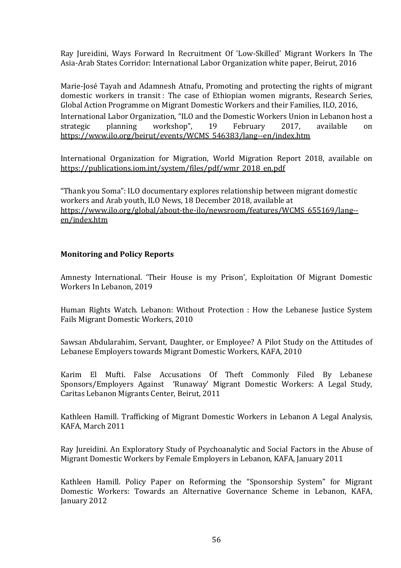Ray Jureidini, Ways Forward In Recruitment Of 'Low-Skilled' Migrant Workers In The Asia-Arab States Corridor: International Labor Organization white paper, Beirut, 2016

Marie-José Tayah and Adamnesh Atnafu, Promoting and protecting the rights of migrant domestic workers in transit : The case of Ethiopian women migrants, Research Series, Global Action Programme on Migrant Domestic Workers and their Families, ILO, 2016, International Labor Organization, "ILO and the Domestic Workers Union in Lebanon host a strategic planning workshop", 19 February 2017, available on [https://www.ilo.org/beirut/events/WCMS\\_546383/lang--en/index.htm](https://www.ilo.org/beirut/events/WCMS_546383/lang--en/index.htm)

International Organization for Migration, World Migration Report 2018, available on [https://publications.iom.int/system/files/pdf/wmr\\_2018\\_en.pdf](https://publications.iom.int/system/files/pdf/wmr_2018_en.pdf)

"Thank you Soma": ILO documentary explores relationship between migrant domestic workers and Arab youth, ILO News, 18 December 2018, available at [https://www.ilo.org/global/about-the-ilo/newsroom/features/WCMS\\_655169/lang-](https://www.ilo.org/global/about-the-ilo/newsroom/features/WCMS_655169/lang--en/index.htm) [en/index.htm](https://www.ilo.org/global/about-the-ilo/newsroom/features/WCMS_655169/lang--en/index.htm)

#### **Monitoring and Policy Reports**

Amnesty International. 'Their House is my Prison', Exploitation Of Migrant Domestic Workers In Lebanon, 2019

Human Rights Watch. Lebanon: Without Protection : How the Lebanese Justice System Fails Migrant Domestic Workers, 2010

Sawsan Abdularahim, Servant, Daughter, or Employee? A Pilot Study on the Attitudes of Lebanese Employers towards Migrant Domestic Workers, KAFA, 2010

Karim El Mufti. False Accusations Of Theft Commonly Filed By Lebanese Sponsors/Employers Against 'Runaway' Migrant Domestic Workers: A Legal Study, Caritas Lebanon Migrants Center, Beirut, 2011

Kathleen Hamill. Trafficking of Migrant Domestic Workers in Lebanon A Legal Analysis, KAFA, March 2011

Ray Jureidini. An Exploratory Study of Psychoanalytic and Social Factors in the Abuse of Migrant Domestic Workers by Female Employers in Lebanon, KAFA, January 2011

Kathleen Hamill. Policy Paper on Reforming the "Sponsorship System" for Migrant Domestic Workers: Towards an Alternative Governance Scheme in Lebanon, KAFA, January 2012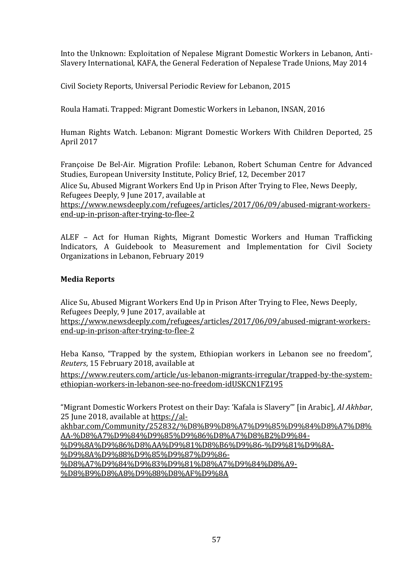Into the Unknown: Exploitation of Nepalese Migrant Domestic Workers in Lebanon, Anti-Slavery International, KAFA, the General Federation of Nepalese Trade Unions, May 2014

Civil Society Reports, Universal Periodic Review for Lebanon, 2015

Roula Hamati. Trapped: Migrant Domestic Workers in Lebanon, INSAN, 2016

Human Rights Watch. Lebanon: Migrant Domestic Workers With Children Deported, 25 April 2017

Françoise De Bel-Air. Migration Profile: Lebanon, Robert Schuman Centre for Advanced Studies, European University Institute, Policy Brief, 12, December 2017

Alice Su, Abused Migrant Workers End Up in Prison After Trying to Flee, News Deeply, Refugees Deeply, 9 June 2017, available at

[https://www.newsdeeply.com/refugees/articles/2017/06/09/abused-migrant-workers](https://www.newsdeeply.com/refugees/articles/2017/06/09/abused-migrant-workers-end-up-in-prison-after-trying-to-flee-2)[end-up-in-prison-after-trying-to-flee-2](https://www.newsdeeply.com/refugees/articles/2017/06/09/abused-migrant-workers-end-up-in-prison-after-trying-to-flee-2)

ALEF – Act for Human Rights, Migrant Domestic Workers and Human Trafficking Indicators, A Guidebook to Measurement and Implementation for Civil Society Organizations in Lebanon, February 2019

#### **Media Reports**

Alice Su, Abused Migrant Workers End Up in Prison After Trying to Flee, News Deeply, Refugees Deeply, 9 June 2017, available at [https://www.newsdeeply.com/refugees/articles/2017/06/09/abused-migrant-workers](https://www.newsdeeply.com/refugees/articles/2017/06/09/abused-migrant-workers-end-up-in-prison-after-trying-to-flee-2)[end-up-in-prison-after-trying-to-flee-2](https://www.newsdeeply.com/refugees/articles/2017/06/09/abused-migrant-workers-end-up-in-prison-after-trying-to-flee-2)

Heba Kanso, "Trapped by the system, Ethiopian workers in Lebanon see no freedom", *Reuters*, 15 February 2018, available at

[https://www.reuters.com/article/us-lebanon-migrants-irregular/trapped-by-the-system](https://www.reuters.com/article/us-lebanon-migrants-irregular/trapped-by-the-system-ethiopian-workers-in-lebanon-see-no-freedom-idUSKCN1FZ195)[ethiopian-workers-in-lebanon-see-no-freedom-idUSKCN1FZ195](https://www.reuters.com/article/us-lebanon-migrants-irregular/trapped-by-the-system-ethiopian-workers-in-lebanon-see-no-freedom-idUSKCN1FZ195)

"Migrant Domestic Workers Protest on their Day: 'Kafala is Slavery'" [in Arabic], *Al Akhbar*, 25 June 2018, available at [https://al-](https://al-akhbar.com/Community/252832/%D8%B9%D8%A7%D9%85%D9%84%D8%A7%D8%AA-%D8%A7%D9%84%D9%85%D9%86%D8%A7%D8%B2%D9%84-%D9%8A%D9%86%D8%AA%D9%81%D8%B6%D9%86-%D9%81%D9%8A-%D9%8A%D9%88%D9%85%D9%87%D9%86-%D8%A7%D9%84%D9%83%D9%81%D8%A7%D9%84%D8%A9-%D8%B9%D8%A8%25)

[akhbar.com/Community/252832/%D8%B9%D8%A7%D9%85%D9%84%D8%A7%D8%](https://al-akhbar.com/Community/252832/%D8%B9%D8%A7%D9%85%D9%84%D8%A7%D8%AA-%D8%A7%D9%84%D9%85%D9%86%D8%A7%D8%B2%D9%84-%D9%8A%D9%86%D8%AA%D9%81%D8%B6%D9%86-%D9%81%D9%8A-%D9%8A%D9%88%D9%85%D9%87%D9%86-%D8%A7%D9%84%D9%83%D9%81%D8%A7%D9%84%D8%A9-%D8%B9%D8%A8%25) [AA-%D8%A7%D9%84%D9%85%D9%86%D8%A7%D8%B2%D9%84-](https://al-akhbar.com/Community/252832/%D8%B9%D8%A7%D9%85%D9%84%D8%A7%D8%AA-%D8%A7%D9%84%D9%85%D9%86%D8%A7%D8%B2%D9%84-%D9%8A%D9%86%D8%AA%D9%81%D8%B6%D9%86-%D9%81%D9%8A-%D9%8A%D9%88%D9%85%D9%87%D9%86-%D8%A7%D9%84%D9%83%D9%81%D8%A7%D9%84%D8%A9-%D8%B9%D8%A8%25)

[%D9%8A%D9%86%D8%AA%D9%81%D8%B6%D9%86-%D9%81%D9%8A-](https://al-akhbar.com/Community/252832/%D8%B9%D8%A7%D9%85%D9%84%D8%A7%D8%AA-%D8%A7%D9%84%D9%85%D9%86%D8%A7%D8%B2%D9%84-%D9%8A%D9%86%D8%AA%D9%81%D8%B6%D9%86-%D9%81%D9%8A-%D9%8A%D9%88%D9%85%D9%87%D9%86-%D8%A7%D9%84%D9%83%D9%81%D8%A7%D9%84%D8%A9-%D8%B9%D8%A8%25)

[%D9%8A%D9%88%D9%85%D9%87%D9%86-](https://al-akhbar.com/Community/252832/%D8%B9%D8%A7%D9%85%D9%84%D8%A7%D8%AA-%D8%A7%D9%84%D9%85%D9%86%D8%A7%D8%B2%D9%84-%D9%8A%D9%86%D8%AA%D9%81%D8%B6%D9%86-%D9%81%D9%8A-%D9%8A%D9%88%D9%85%D9%87%D9%86-%D8%A7%D9%84%D9%83%D9%81%D8%A7%D9%84%D8%A9-%D8%B9%D8%A8%25)

[%D8%A7%D9%84%D9%83%D9%81%D8%A7%D9%84%D8%A9-](https://al-akhbar.com/Community/252832/%D8%B9%D8%A7%D9%85%D9%84%D8%A7%D8%AA-%D8%A7%D9%84%D9%85%D9%86%D8%A7%D8%B2%D9%84-%D9%8A%D9%86%D8%AA%D9%81%D8%B6%D9%86-%D9%81%D9%8A-%D9%8A%D9%88%D9%85%D9%87%D9%86-%D8%A7%D9%84%D9%83%D9%81%D8%A7%D9%84%D8%A9-%D8%B9%D8%A8%25)

[%D8%B9%D8%A8%D9%88%D8%AF%D9%8A](https://al-akhbar.com/Community/252832/%D8%B9%D8%A7%D9%85%D9%84%D8%A7%D8%AA-%D8%A7%D9%84%D9%85%D9%86%D8%A7%D8%B2%D9%84-%D9%8A%D9%86%D8%AA%D9%81%D8%B6%D9%86-%D9%81%D9%8A-%D9%8A%D9%88%D9%85%D9%87%D9%86-%D8%A7%D9%84%D9%83%D9%81%D8%A7%D9%84%D8%A9-%D8%B9%D8%A8%25)